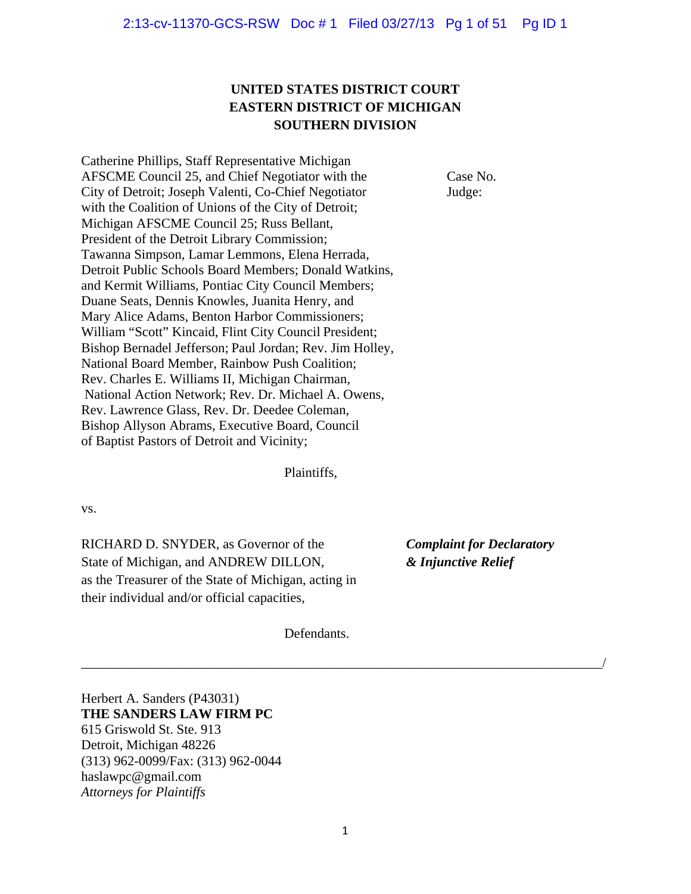# **UNITED STATES DISTRICT COURT EASTERN DISTRICT OF MICHIGAN SOUTHERN DIVISION**

Catherine Phillips, Staff Representative Michigan AFSCME Council 25, and Chief Negotiator with the Case No. City of Detroit; Joseph Valenti, Co-Chief Negotiator Judge: with the Coalition of Unions of the City of Detroit; Michigan AFSCME Council 25; Russ Bellant, President of the Detroit Library Commission; Tawanna Simpson, Lamar Lemmons, Elena Herrada, Detroit Public Schools Board Members; Donald Watkins, and Kermit Williams, Pontiac City Council Members; Duane Seats, Dennis Knowles, Juanita Henry, and Mary Alice Adams, Benton Harbor Commissioners; William "Scott" Kincaid, Flint City Council President; Bishop Bernadel Jefferson; Paul Jordan; Rev. Jim Holley, National Board Member, Rainbow Push Coalition; Rev. Charles E. Williams II, Michigan Chairman, National Action Network; Rev. Dr. Michael A. Owens, Rev. Lawrence Glass, Rev. Dr. Deedee Coleman, Bishop Allyson Abrams, Executive Board, Council of Baptist Pastors of Detroit and Vicinity;

Plaintiffs,

vs.

RICHARD D. SNYDER, as Governor of the *Complaint for Declaratory* State of Michigan, and ANDREW DILLON, *& Injunctive Relief* as the Treasurer of the State of Michigan, acting in their individual and/or official capacities,

Defendants.

Herbert A. Sanders (P43031) **THE SANDERS LAW FIRM PC**  615 Griswold St. Ste. 913 Detroit, Michigan 48226 (313) 962-0099/Fax: (313) 962-0044 haslawpc@gmail.com *Attorneys for Plaintiffs* 

\_\_\_\_\_\_\_\_\_\_\_\_\_\_\_\_\_\_\_\_\_\_\_\_\_\_\_\_\_\_\_\_\_\_\_\_\_\_\_\_\_\_\_\_\_\_\_\_\_\_\_\_\_\_\_\_\_\_\_\_\_\_\_\_\_\_\_\_\_\_\_\_\_\_\_\_\_/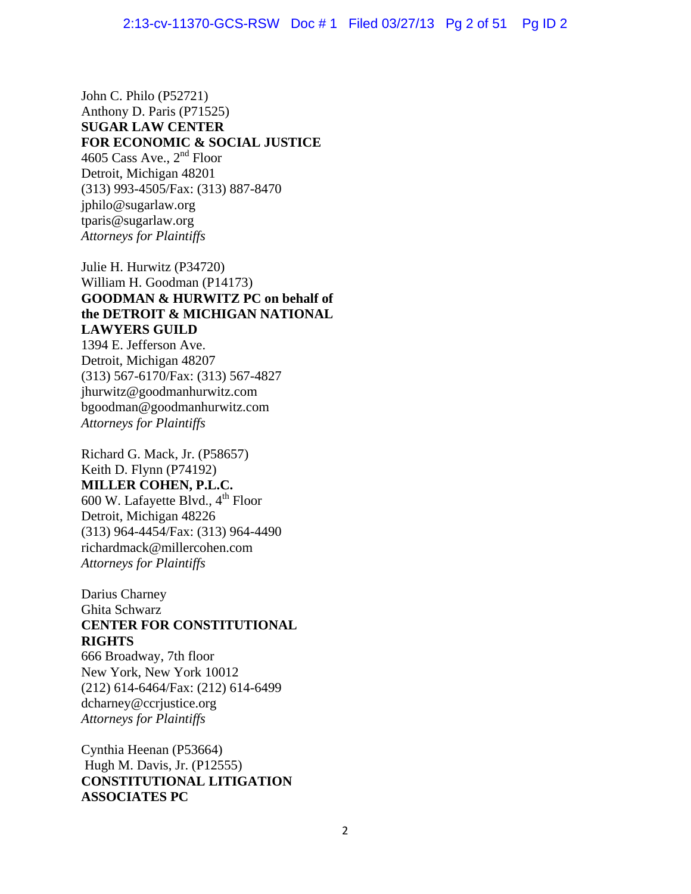John C. Philo (P52721) Anthony D. Paris (P71525) **SUGAR LAW CENTER FOR ECONOMIC & SOCIAL JUSTICE**  4605 Cass Ave., 2<sup>nd</sup> Floor Detroit, Michigan 48201 (313) 993-4505/Fax: (313) 887-8470 jphilo@sugarlaw.org tparis@sugarlaw.org *Attorneys for Plaintiffs* 

Julie H. Hurwitz (P34720) William H. Goodman (P14173) **GOODMAN & HURWITZ PC on behalf of the DETROIT & MICHIGAN NATIONAL LAWYERS GUILD** 

1394 E. Jefferson Ave. Detroit, Michigan 48207 (313) 567-6170/Fax: (313) 567-4827 jhurwitz@goodmanhurwitz.com bgoodman@goodmanhurwitz.com *Attorneys for Plaintiffs* 

Richard G. Mack, Jr. (P58657) Keith D. Flynn (P74192) **MILLER COHEN, P.L.C.**  600 W. Lafayette Blvd., 4<sup>th</sup> Floor Detroit, Michigan 48226 (313) 964-4454/Fax: (313) 964-4490 richardmack@millercohen.com *Attorneys for Plaintiffs*

Darius Charney Ghita Schwarz **CENTER FOR CONSTITUTIONAL RIGHTS** 

666 Broadway, 7th floor New York, New York 10012 (212) 614-6464/Fax: (212) 614-6499 dcharney@ccrjustice.org *Attorneys for Plaintiffs* 

Cynthia Heenan (P53664) Hugh M. Davis, Jr. (P12555) **CONSTITUTIONAL LITIGATION ASSOCIATES PC**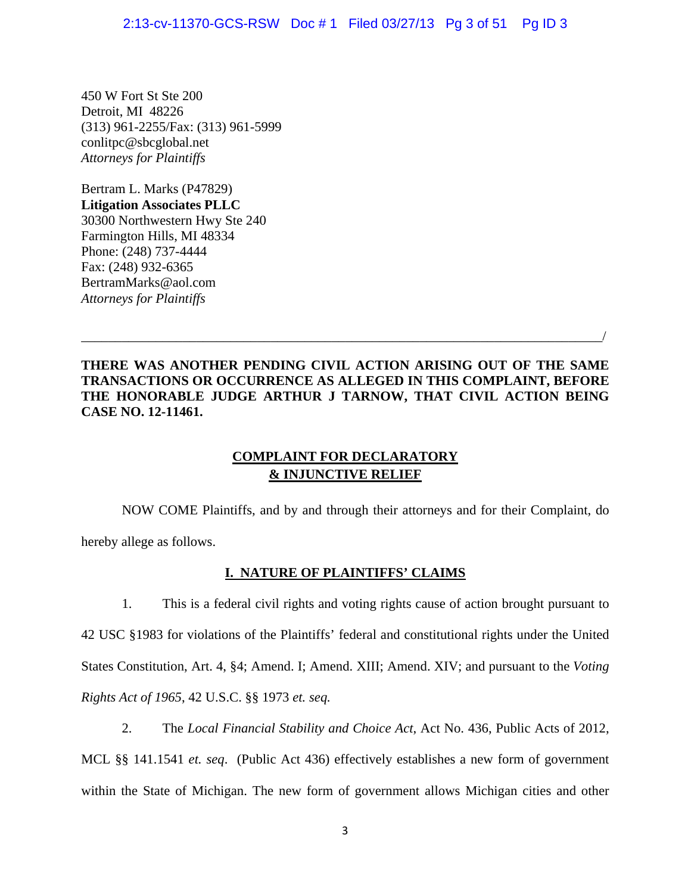450 W Fort St Ste 200 Detroit, MI 48226 (313) 961-2255/Fax: (313) 961-5999 conlitpc@sbcglobal.net *Attorneys for Plaintiffs* 

Bertram L. Marks (P47829) **Litigation Associates PLLC** 30300 Northwestern Hwy Ste 240 Farmington Hills, MI 48334 Phone: (248) 737-4444 Fax: (248) 932-6365 [BertramMarks@aol.com](mailto:BertramMarks@aol.com)  *Attorneys for Plaintiffs* 

# **THERE WAS ANOTHER PENDING CIVIL ACTION ARISING OUT OF THE SAME TRANSACTIONS OR OCCURRENCE AS ALLEGED IN THIS COMPLAINT, BEFORE THE HONORABLE JUDGE ARTHUR J TARNOW, THAT CIVIL ACTION BEING CASE NO. 12-11461.**

\_\_\_\_\_\_\_\_\_\_\_\_\_\_\_\_\_\_\_\_\_\_\_\_\_\_\_\_\_\_\_\_\_\_\_\_\_\_\_\_\_\_\_\_\_\_\_\_\_\_\_\_\_\_\_\_\_\_\_\_\_\_\_\_\_\_\_\_\_\_\_\_\_\_\_\_\_/

# **COMPLAINT FOR DECLARATORY & INJUNCTIVE RELIEF**

 NOW COME Plaintiffs, and by and through their attorneys and for their Complaint, do hereby allege as follows.

# **I. NATURE OF PLAINTIFFS' CLAIMS**

1. This is a federal civil rights and voting rights cause of action brought pursuant to 42 USC §1983 for violations of the Plaintiffs' federal and constitutional rights under the United States Constitution, Art. 4, §4; Amend. I; Amend. XIII; Amend. XIV; and pursuant to the *Voting Rights Act of 1965*, 42 U.S.C. §§ 1973 *et. seq.*

2. The *Local Financial Stability and Choice Act*, Act No. 436, Public Acts of 2012, MCL §§ 141.1541 *et. seq*. (Public Act 436) effectively establishes a new form of government within the State of Michigan. The new form of government allows Michigan cities and other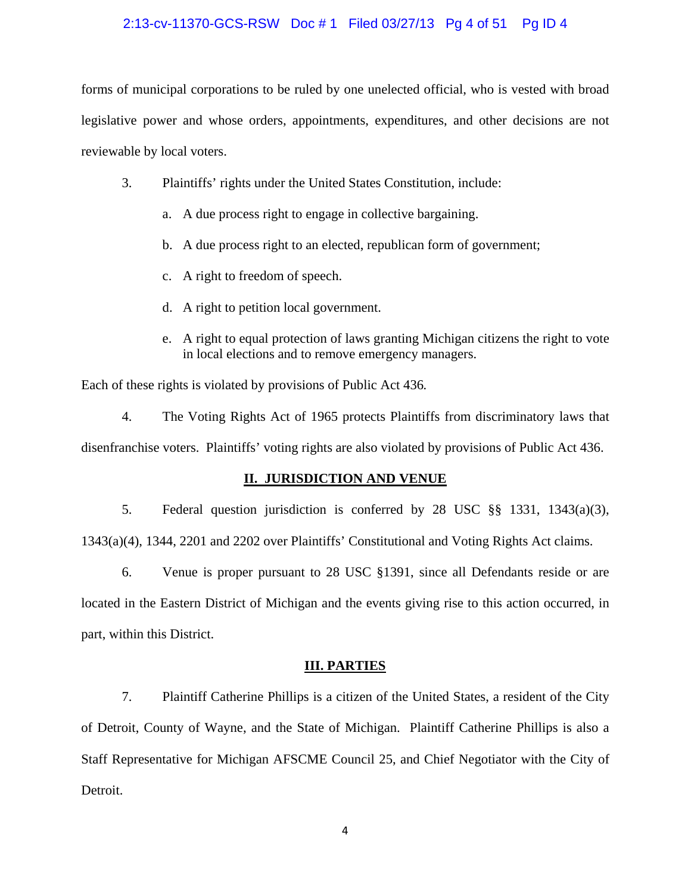### 2:13-cv-11370-GCS-RSW Doc # 1 Filed 03/27/13 Pg 4 of 51 Pg ID 4

forms of municipal corporations to be ruled by one unelected official, who is vested with broad legislative power and whose orders, appointments, expenditures, and other decisions are not reviewable by local voters.

- 3. Plaintiffs' rights under the United States Constitution, include:
	- a. A due process right to engage in collective bargaining.
	- b. A due process right to an elected, republican form of government;
	- c. A right to freedom of speech.
	- d. A right to petition local government.
	- e. A right to equal protection of laws granting Michigan citizens the right to vote in local elections and to remove emergency managers.

Each of these rights is violated by provisions of Public Act 436*.*

4. The Voting Rights Act of 1965 protects Plaintiffs from discriminatory laws that disenfranchise voters. Plaintiffs' voting rights are also violated by provisions of Public Act 436.

# **II. JURISDICTION AND VENUE**

5. Federal question jurisdiction is conferred by 28 USC §§ 1331, 1343(a)(3), 1343(a)(4), 1344, 2201 and 2202 over Plaintiffs' Constitutional and Voting Rights Act claims.

6. Venue is proper pursuant to 28 USC §1391, since all Defendants reside or are located in the Eastern District of Michigan and the events giving rise to this action occurred, in part, within this District.

### **III. PARTIES**

7. Plaintiff Catherine Phillips is a citizen of the United States, a resident of the City of Detroit, County of Wayne, and the State of Michigan. Plaintiff Catherine Phillips is also a Staff Representative for Michigan AFSCME Council 25, and Chief Negotiator with the City of Detroit.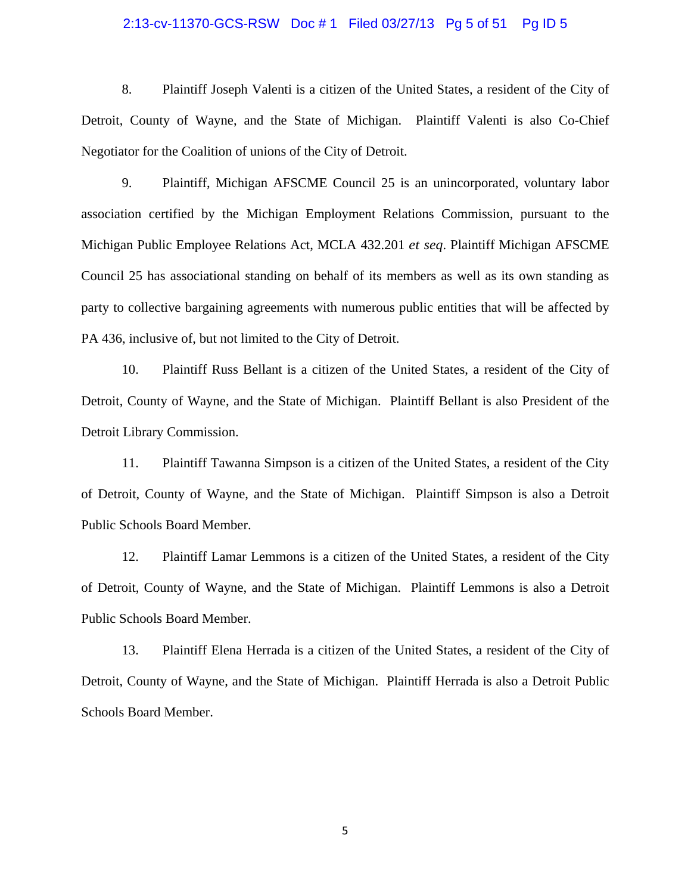#### 2:13-cv-11370-GCS-RSW Doc # 1 Filed 03/27/13 Pg 5 of 51 Pg ID 5

8. Plaintiff Joseph Valenti is a citizen of the United States, a resident of the City of Detroit, County of Wayne, and the State of Michigan. Plaintiff Valenti is also Co-Chief Negotiator for the Coalition of unions of the City of Detroit.

9. Plaintiff, Michigan AFSCME Council 25 is an unincorporated, voluntary labor association certified by the Michigan Employment Relations Commission, pursuant to the Michigan Public Employee Relations Act, MCLA 432.201 *et seq*. Plaintiff Michigan AFSCME Council 25 has associational standing on behalf of its members as well as its own standing as party to collective bargaining agreements with numerous public entities that will be affected by PA 436, inclusive of, but not limited to the City of Detroit.

10. Plaintiff Russ Bellant is a citizen of the United States, a resident of the City of Detroit, County of Wayne, and the State of Michigan. Plaintiff Bellant is also President of the Detroit Library Commission.

11. Plaintiff Tawanna Simpson is a citizen of the United States, a resident of the City of Detroit, County of Wayne, and the State of Michigan. Plaintiff Simpson is also a Detroit Public Schools Board Member.

12. Plaintiff Lamar Lemmons is a citizen of the United States, a resident of the City of Detroit, County of Wayne, and the State of Michigan. Plaintiff Lemmons is also a Detroit Public Schools Board Member.

13. Plaintiff Elena Herrada is a citizen of the United States, a resident of the City of Detroit, County of Wayne, and the State of Michigan. Plaintiff Herrada is also a Detroit Public Schools Board Member.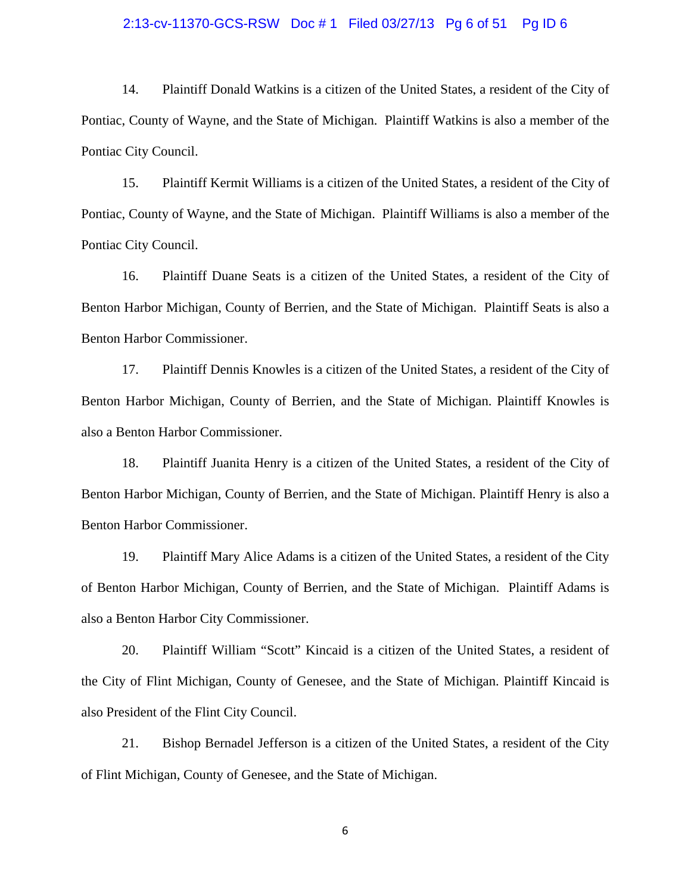#### 2:13-cv-11370-GCS-RSW Doc # 1 Filed 03/27/13 Pg 6 of 51 Pg ID 6

14. Plaintiff Donald Watkins is a citizen of the United States, a resident of the City of Pontiac, County of Wayne, and the State of Michigan. Plaintiff Watkins is also a member of the Pontiac City Council.

15. Plaintiff Kermit Williams is a citizen of the United States, a resident of the City of Pontiac, County of Wayne, and the State of Michigan. Plaintiff Williams is also a member of the Pontiac City Council.

16. Plaintiff Duane Seats is a citizen of the United States, a resident of the City of Benton Harbor Michigan, County of Berrien, and the State of Michigan. Plaintiff Seats is also a Benton Harbor Commissioner.

17. Plaintiff Dennis Knowles is a citizen of the United States, a resident of the City of Benton Harbor Michigan, County of Berrien, and the State of Michigan. Plaintiff Knowles is also a Benton Harbor Commissioner.

18. Plaintiff Juanita Henry is a citizen of the United States, a resident of the City of Benton Harbor Michigan, County of Berrien, and the State of Michigan. Plaintiff Henry is also a Benton Harbor Commissioner.

19. Plaintiff Mary Alice Adams is a citizen of the United States, a resident of the City of Benton Harbor Michigan, County of Berrien, and the State of Michigan. Plaintiff Adams is also a Benton Harbor City Commissioner.

20. Plaintiff William "Scott" Kincaid is a citizen of the United States, a resident of the City of Flint Michigan, County of Genesee, and the State of Michigan. Plaintiff Kincaid is also President of the Flint City Council.

21. Bishop Bernadel Jefferson is a citizen of the United States, a resident of the City of Flint Michigan, County of Genesee, and the State of Michigan.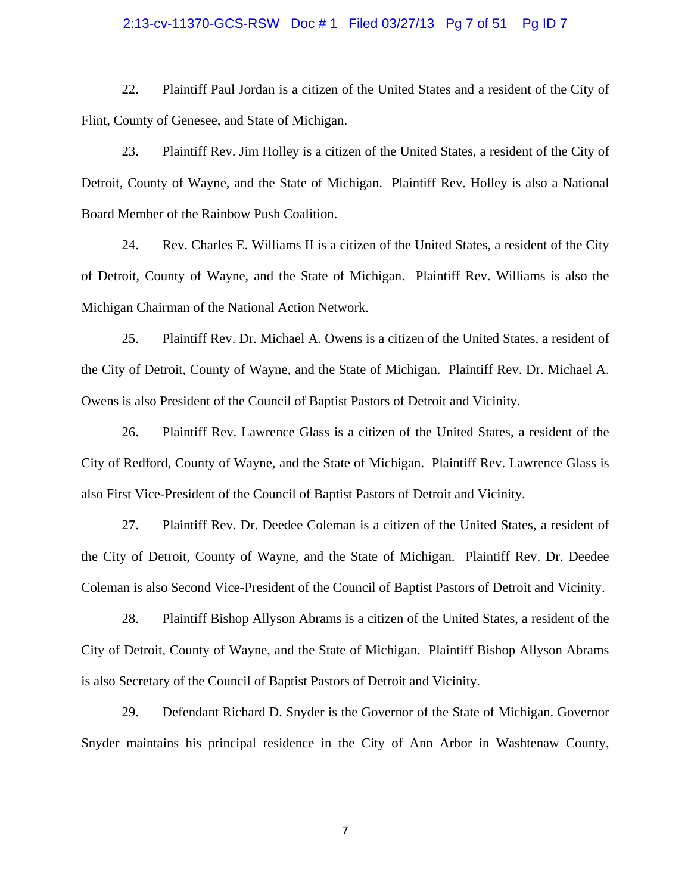#### 2:13-cv-11370-GCS-RSW Doc # 1 Filed 03/27/13 Pg 7 of 51 Pg ID 7

22. Plaintiff Paul Jordan is a citizen of the United States and a resident of the City of Flint, County of Genesee, and State of Michigan.

23. Plaintiff Rev. Jim Holley is a citizen of the United States, a resident of the City of Detroit, County of Wayne, and the State of Michigan. Plaintiff Rev. Holley is also a National Board Member of the Rainbow Push Coalition.

24. Rev. Charles E. Williams II is a citizen of the United States, a resident of the City of Detroit, County of Wayne, and the State of Michigan. Plaintiff Rev. Williams is also the Michigan Chairman of the National Action Network.

25. Plaintiff Rev. Dr. Michael A. Owens is a citizen of the United States, a resident of the City of Detroit, County of Wayne, and the State of Michigan. Plaintiff Rev. Dr. Michael A. Owens is also President of the Council of Baptist Pastors of Detroit and Vicinity.

26. Plaintiff Rev. Lawrence Glass is a citizen of the United States, a resident of the City of Redford, County of Wayne, and the State of Michigan. Plaintiff Rev. Lawrence Glass is also First Vice-President of the Council of Baptist Pastors of Detroit and Vicinity.

27. Plaintiff Rev. Dr. Deedee Coleman is a citizen of the United States, a resident of the City of Detroit, County of Wayne, and the State of Michigan. Plaintiff Rev. Dr. Deedee Coleman is also Second Vice-President of the Council of Baptist Pastors of Detroit and Vicinity.

28. Plaintiff Bishop Allyson Abrams is a citizen of the United States, a resident of the City of Detroit, County of Wayne, and the State of Michigan. Plaintiff Bishop Allyson Abrams is also Secretary of the Council of Baptist Pastors of Detroit and Vicinity.

29. Defendant Richard D. Snyder is the Governor of the State of Michigan. Governor Snyder maintains his principal residence in the City of Ann Arbor in Washtenaw County,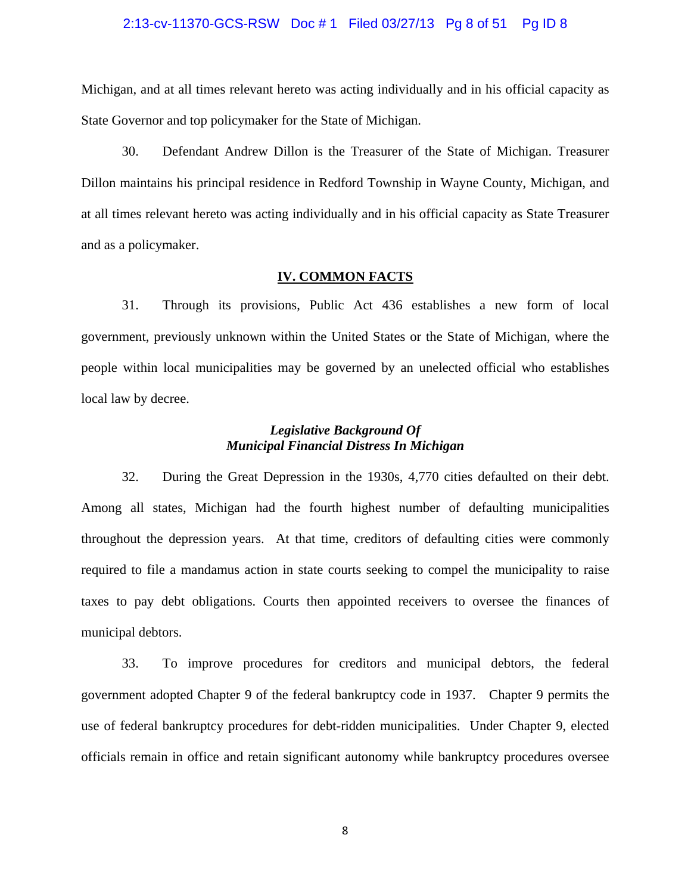#### 2:13-cv-11370-GCS-RSW Doc # 1 Filed 03/27/13 Pg 8 of 51 Pg ID 8

Michigan, and at all times relevant hereto was acting individually and in his official capacity as State Governor and top policymaker for the State of Michigan.

30. Defendant Andrew Dillon is the Treasurer of the State of Michigan. Treasurer Dillon maintains his principal residence in Redford Township in Wayne County, Michigan, and at all times relevant hereto was acting individually and in his official capacity as State Treasurer and as a policymaker.

#### **IV. COMMON FACTS**

31. Through its provisions, Public Act 436 establishes a new form of local government, previously unknown within the United States or the State of Michigan, where the people within local municipalities may be governed by an unelected official who establishes local law by decree.

# *Legislative Background Of Municipal Financial Distress In Michigan*

32. During the Great Depression in the 1930s, 4,770 cities defaulted on their debt. Among all states, Michigan had the fourth highest number of defaulting municipalities throughout the depression years. At that time, creditors of defaulting cities were commonly required to file a mandamus action in state courts seeking to compel the municipality to raise taxes to pay debt obligations. Courts then appointed receivers to oversee the finances of municipal debtors.

33. To improve procedures for creditors and municipal debtors, the federal government adopted Chapter 9 of the federal bankruptcy code in 1937. Chapter 9 permits the use of federal bankruptcy procedures for debt-ridden municipalities. Under Chapter 9, elected officials remain in office and retain significant autonomy while bankruptcy procedures oversee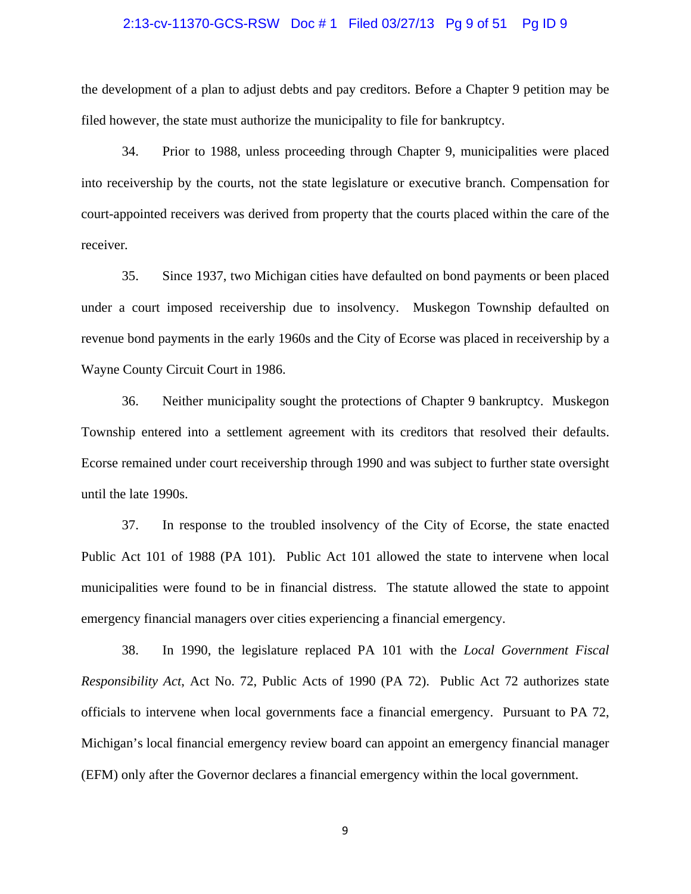#### 2:13-cv-11370-GCS-RSW Doc # 1 Filed 03/27/13 Pg 9 of 51 Pg ID 9

the development of a plan to adjust debts and pay creditors. Before a Chapter 9 petition may be filed however, the state must authorize the municipality to file for bankruptcy.

34. Prior to 1988, unless proceeding through Chapter 9, municipalities were placed into receivership by the courts, not the state legislature or executive branch. Compensation for court-appointed receivers was derived from property that the courts placed within the care of the receiver*.* 

35. Since 1937, two Michigan cities have defaulted on bond payments or been placed under a court imposed receivership due to insolvency. Muskegon Township defaulted on revenue bond payments in the early 1960s and the City of Ecorse was placed in receivership by a Wayne County Circuit Court in 1986.

36. Neither municipality sought the protections of Chapter 9 bankruptcy. Muskegon Township entered into a settlement agreement with its creditors that resolved their defaults. Ecorse remained under court receivership through 1990 and was subject to further state oversight until the late 1990s.

37. In response to the troubled insolvency of the City of Ecorse, the state enacted Public Act 101 of 1988 (PA 101). Public Act 101 allowed the state to intervene when local municipalities were found to be in financial distress. The statute allowed the state to appoint emergency financial managers over cities experiencing a financial emergency.

38. In 1990, the legislature replaced PA 101 with the *Local Government Fiscal Responsibility Act*, Act No. 72, Public Acts of 1990 (PA 72). Public Act 72 authorizes state officials to intervene when local governments face a financial emergency. Pursuant to PA 72, Michigan's local financial emergency review board can appoint an emergency financial manager (EFM) only after the Governor declares a financial emergency within the local government.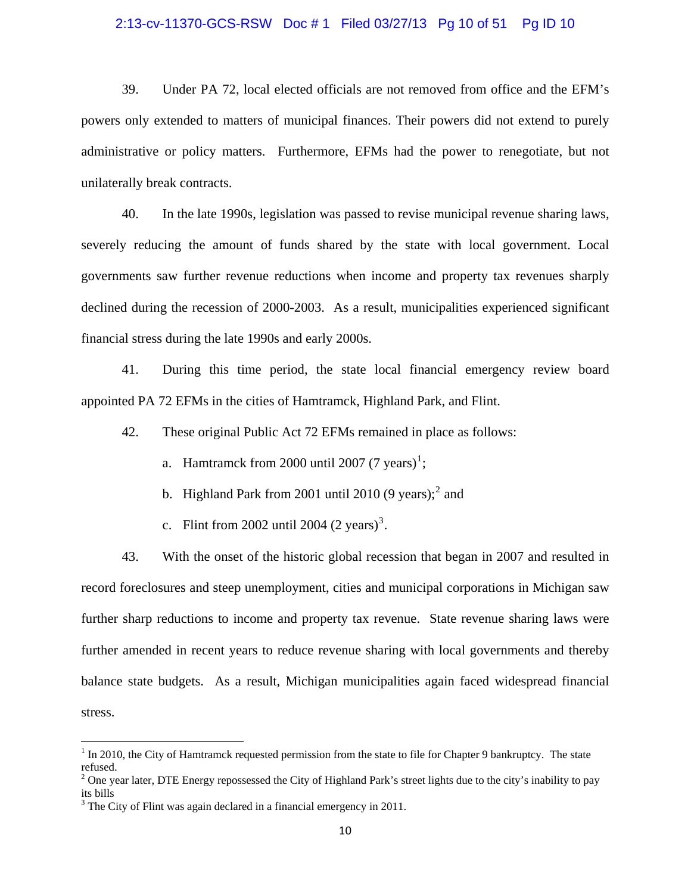#### 2:13-cv-11370-GCS-RSW Doc # 1 Filed 03/27/13 Pg 10 of 51 Pg ID 10

39. Under PA 72, local elected officials are not removed from office and the EFM's powers only extended to matters of municipal finances. Their powers did not extend to purely administrative or policy matters. Furthermore, EFMs had the power to renegotiate, but not unilaterally break contracts.

40. In the late 1990s, legislation was passed to revise municipal revenue sharing laws, severely reducing the amount of funds shared by the state with local government. Local governments saw further revenue reductions when income and property tax revenues sharply declined during the recession of 2000-2003. As a result, municipalities experienced significant financial stress during the late 1990s and early 2000s.

41. During this time period, the state local financial emergency review board appointed PA 72 EFMs in the cities of Hamtramck, Highland Park, and Flint.

42. These original Public Act 72 EFMs remained in place as follows:

- a. Hamtramck from 2000 until 2007 (7 years)<sup>[1](#page-9-0)</sup>;
- b. Highland Park from [2](#page-9-1)001 until 2010  $(9 \text{ years})$ ;<sup>2</sup> and
- c. Flint from 2002 until 2004  $(2 \text{ years})^3$  $(2 \text{ years})^3$ .

43. With the onset of the historic global recession that began in 2007 and resulted in record foreclosures and steep unemployment, cities and municipal corporations in Michigan saw further sharp reductions to income and property tax revenue. State revenue sharing laws were further amended in recent years to reduce revenue sharing with local governments and thereby balance state budgets. As a result, Michigan municipalities again faced widespread financial stress.

<span id="page-9-0"></span> $1$  In 2010, the City of Hamtramck requested permission from the state to file for Chapter 9 bankruptcy. The state refused.

<span id="page-9-1"></span><sup>&</sup>lt;sup>2</sup> One year later, DTE Energy repossessed the City of Highland Park's street lights due to the city's inability to pay its bills

<span id="page-9-2"></span> $3$  The City of Flint was again declared in a financial emergency in 2011.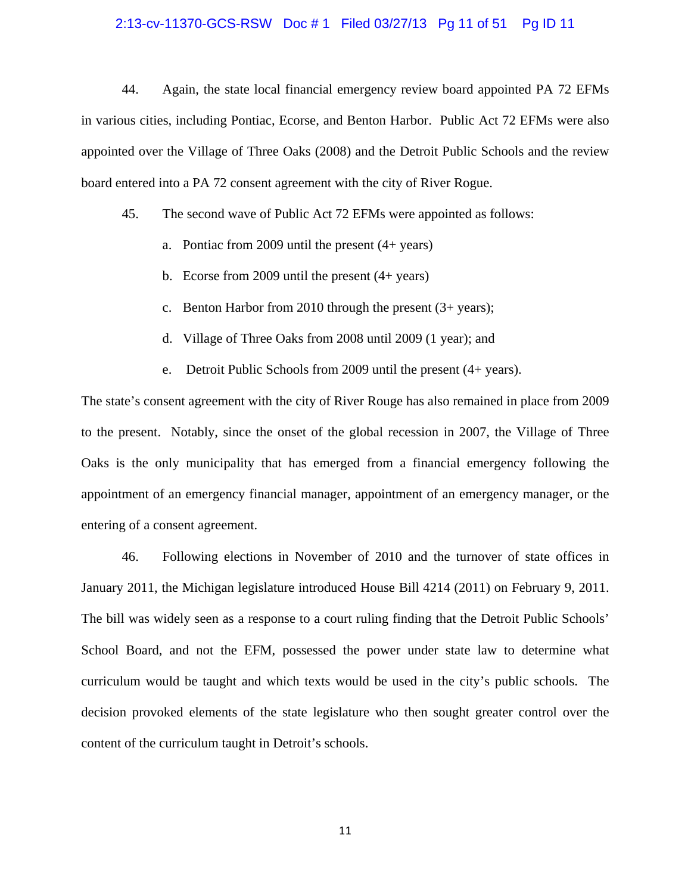#### 2:13-cv-11370-GCS-RSW Doc # 1 Filed 03/27/13 Pg 11 of 51 Pg ID 11

44. Again, the state local financial emergency review board appointed PA 72 EFMs in various cities, including Pontiac, Ecorse, and Benton Harbor. Public Act 72 EFMs were also appointed over the Village of Three Oaks (2008) and the Detroit Public Schools and the review board entered into a PA 72 consent agreement with the city of River Rogue.

45. The second wave of Public Act 72 EFMs were appointed as follows:

- a. Pontiac from 2009 until the present (4+ years)
- b. Ecorse from 2009 until the present  $(4 + \text{years})$
- c. Benton Harbor from 2010 through the present (3+ years);
- d. Village of Three Oaks from 2008 until 2009 (1 year); and
- e. Detroit Public Schools from 2009 until the present (4+ years).

The state's consent agreement with the city of River Rouge has also remained in place from 2009 to the present. Notably, since the onset of the global recession in 2007, the Village of Three Oaks is the only municipality that has emerged from a financial emergency following the appointment of an emergency financial manager, appointment of an emergency manager, or the entering of a consent agreement.

46. Following elections in November of 2010 and the turnover of state offices in January 2011, the Michigan legislature introduced House Bill 4214 (2011) on February 9, 2011. The bill was widely seen as a response to a court ruling finding that the Detroit Public Schools' School Board, and not the EFM, possessed the power under state law to determine what curriculum would be taught and which texts would be used in the city's public schools. The decision provoked elements of the state legislature who then sought greater control over the content of the curriculum taught in Detroit's schools.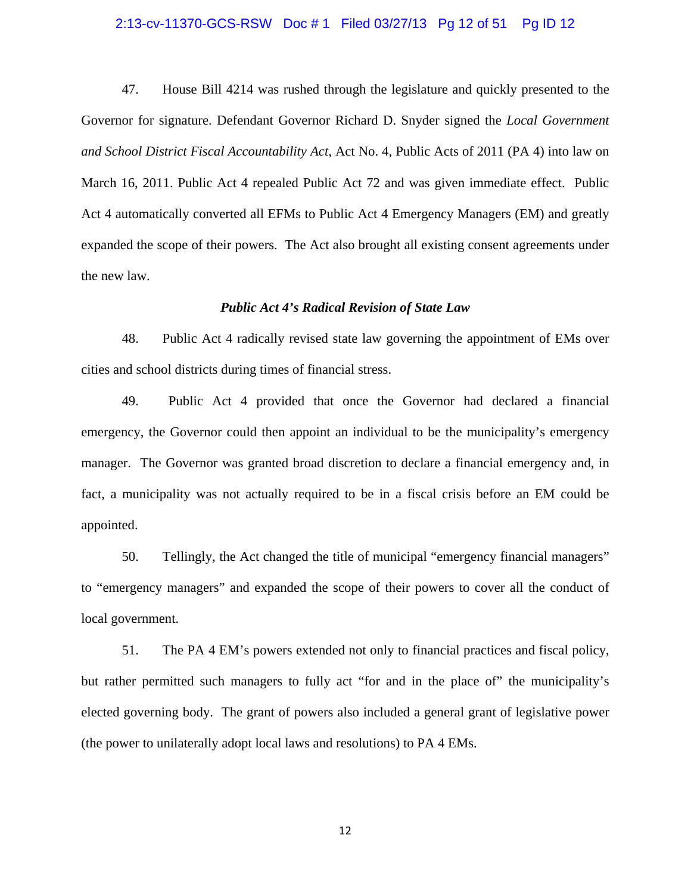#### 2:13-cv-11370-GCS-RSW Doc # 1 Filed 03/27/13 Pg 12 of 51 Pg ID 12

47. House Bill 4214 was rushed through the legislature and quickly presented to the Governor for signature. Defendant Governor Richard D. Snyder signed the *Local Government and School District Fiscal Accountability Act*, Act No. 4, Public Acts of 2011 (PA 4) into law on March 16, 2011. Public Act 4 repealed Public Act 72 and was given immediate effect. Public Act 4 automatically converted all EFMs to Public Act 4 Emergency Managers (EM) and greatly expanded the scope of their powers. The Act also brought all existing consent agreements under the new law.

#### *Public Act 4's Radical Revision of State Law*

48. Public Act 4 radically revised state law governing the appointment of EMs over cities and school districts during times of financial stress.

49. Public Act 4 provided that once the Governor had declared a financial emergency, the Governor could then appoint an individual to be the municipality's emergency manager. The Governor was granted broad discretion to declare a financial emergency and, in fact, a municipality was not actually required to be in a fiscal crisis before an EM could be appointed.

50. Tellingly, the Act changed the title of municipal "emergency financial managers" to "emergency managers" and expanded the scope of their powers to cover all the conduct of local government.

51. The PA 4 EM's powers extended not only to financial practices and fiscal policy, but rather permitted such managers to fully act "for and in the place of" the municipality's elected governing body. The grant of powers also included a general grant of legislative power (the power to unilaterally adopt local laws and resolutions) to PA 4 EMs.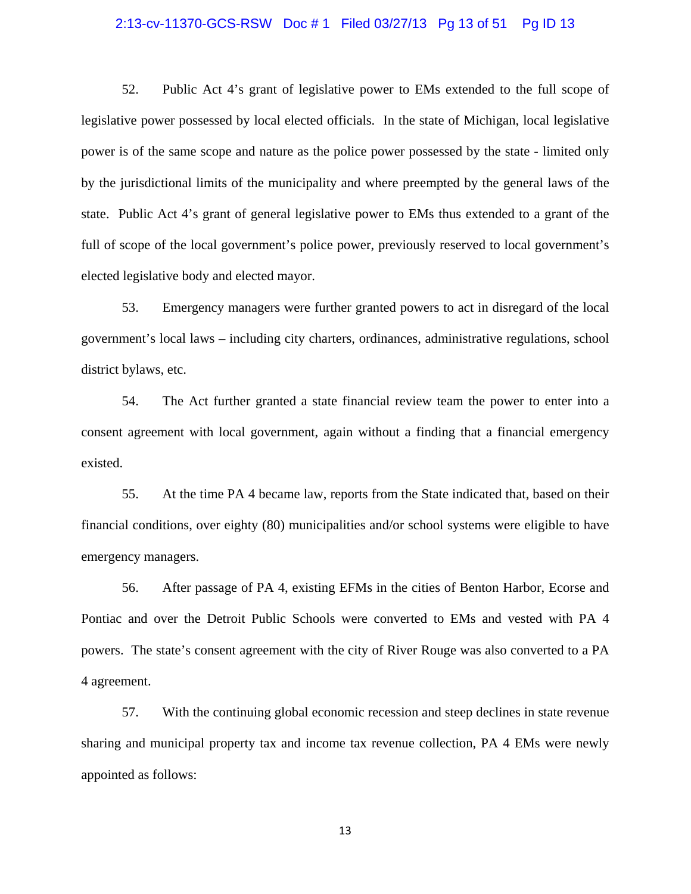#### 2:13-cv-11370-GCS-RSW Doc # 1 Filed 03/27/13 Pg 13 of 51 Pg ID 13

52. Public Act 4's grant of legislative power to EMs extended to the full scope of legislative power possessed by local elected officials. In the state of Michigan, local legislative power is of the same scope and nature as the police power possessed by the state - limited only by the jurisdictional limits of the municipality and where preempted by the general laws of the state. Public Act 4's grant of general legislative power to EMs thus extended to a grant of the full of scope of the local government's police power, previously reserved to local government's elected legislative body and elected mayor.

53. Emergency managers were further granted powers to act in disregard of the local government's local laws – including city charters, ordinances, administrative regulations, school district bylaws, etc.

54. The Act further granted a state financial review team the power to enter into a consent agreement with local government, again without a finding that a financial emergency existed.

55. At the time PA 4 became law, reports from the State indicated that, based on their financial conditions, over eighty (80) municipalities and/or school systems were eligible to have emergency managers.

56. After passage of PA 4, existing EFMs in the cities of Benton Harbor, Ecorse and Pontiac and over the Detroit Public Schools were converted to EMs and vested with PA 4 powers. The state's consent agreement with the city of River Rouge was also converted to a PA 4 agreement.

57. With the continuing global economic recession and steep declines in state revenue sharing and municipal property tax and income tax revenue collection, PA 4 EMs were newly appointed as follows: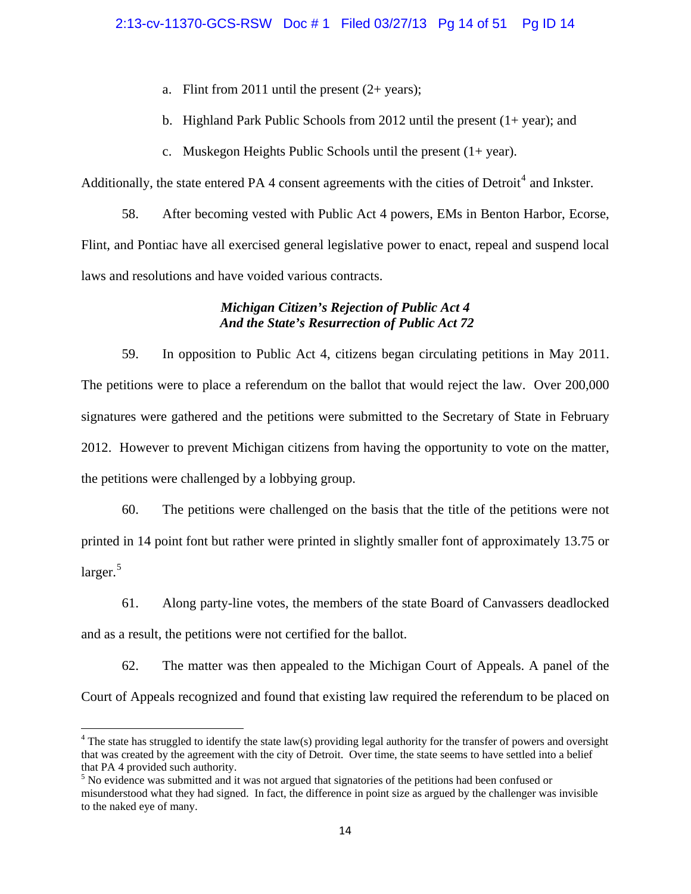- a. Flint from 2011 until the present (2+ years);
- b. Highland Park Public Schools from 2012 until the present  $(1 + year)$ ; and
- c. Muskegon Heights Public Schools until the present (1+ year).

Additionally, the state entered PA [4](#page-13-0) consent agreements with the cities of Detroit<sup>4</sup> and Inkster.

58. After becoming vested with Public Act 4 powers, EMs in Benton Harbor, Ecorse, Flint, and Pontiac have all exercised general legislative power to enact, repeal and suspend local laws and resolutions and have voided various contracts.

# *Michigan Citizen's Rejection of Public Act 4 And the State's Resurrection of Public Act 72*

59. In opposition to Public Act 4, citizens began circulating petitions in May 2011. The petitions were to place a referendum on the ballot that would reject the law. Over 200,000 signatures were gathered and the petitions were submitted to the Secretary of State in February 2012. However to prevent Michigan citizens from having the opportunity to vote on the matter, the petitions were challenged by a lobbying group.

60. The petitions were challenged on the basis that the title of the petitions were not printed in 14 point font but rather were printed in slightly smaller font of approximately 13.75 or larger.<sup>[5](#page-13-1)</sup>

61. Along party-line votes, the members of the state Board of Canvassers deadlocked and as a result, the petitions were not certified for the ballot.

62. The matter was then appealed to the Michigan Court of Appeals. A panel of the Court of Appeals recognized and found that existing law required the referendum to be placed on

<span id="page-13-0"></span> $4$  The state has struggled to identify the state law(s) providing legal authority for the transfer of powers and oversight that was created by the agreement with the city of Detroit. Over time, the state seems to have settled into a belief that PA 4 provided such authority.

<span id="page-13-1"></span><sup>&</sup>lt;sup>5</sup> No evidence was submitted and it was not argued that signatories of the petitions had been confused or misunderstood what they had signed. In fact, the difference in point size as argued by the challenger was invisible to the naked eye of many.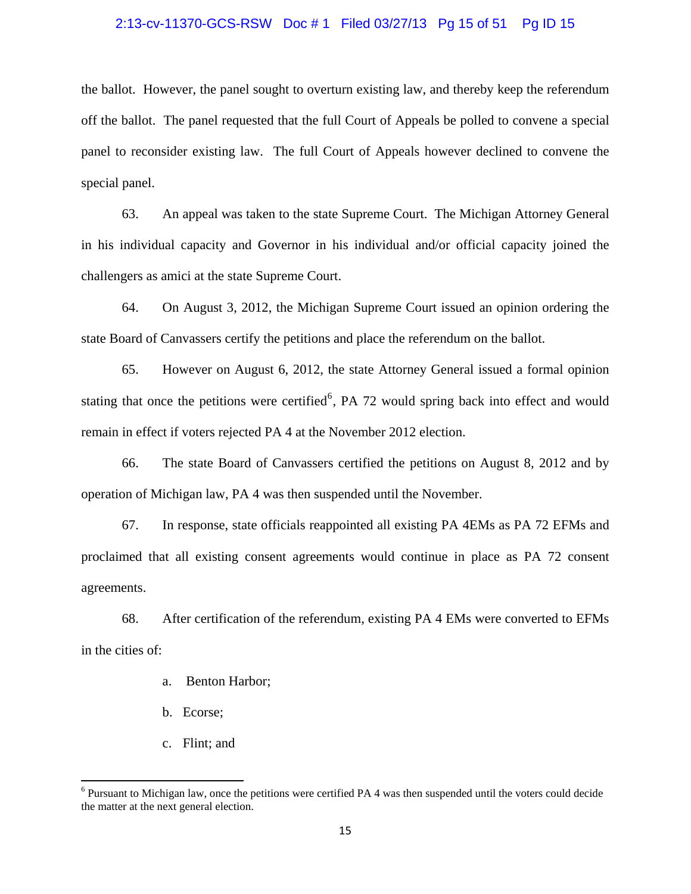#### 2:13-cv-11370-GCS-RSW Doc # 1 Filed 03/27/13 Pg 15 of 51 Pg ID 15

the ballot. However, the panel sought to overturn existing law, and thereby keep the referendum off the ballot. The panel requested that the full Court of Appeals be polled to convene a special panel to reconsider existing law. The full Court of Appeals however declined to convene the special panel.

63. An appeal was taken to the state Supreme Court. The Michigan Attorney General in his individual capacity and Governor in his individual and/or official capacity joined the challengers as amici at the state Supreme Court.

64. On August 3, 2012, the Michigan Supreme Court issued an opinion ordering the state Board of Canvassers certify the petitions and place the referendum on the ballot.

65. However on August 6, 2012, the state Attorney General issued a formal opinion stating that once the petitions were certified<sup>[6](#page-14-0)</sup>, PA 72 would spring back into effect and would remain in effect if voters rejected PA 4 at the November 2012 election.

66. The state Board of Canvassers certified the petitions on August 8, 2012 and by operation of Michigan law, PA 4 was then suspended until the November.

67. In response, state officials reappointed all existing PA 4EMs as PA 72 EFMs and proclaimed that all existing consent agreements would continue in place as PA 72 consent agreements.

68. After certification of the referendum, existing PA 4 EMs were converted to EFMs in the cities of:

- a. Benton Harbor;
- b. Ecorse;
- c. Flint; and

<span id="page-14-0"></span><sup>&</sup>lt;sup>6</sup> Pursuant to Michigan law, once the petitions were certified PA 4 was then suspended until the voters could decide the matter at the next general election.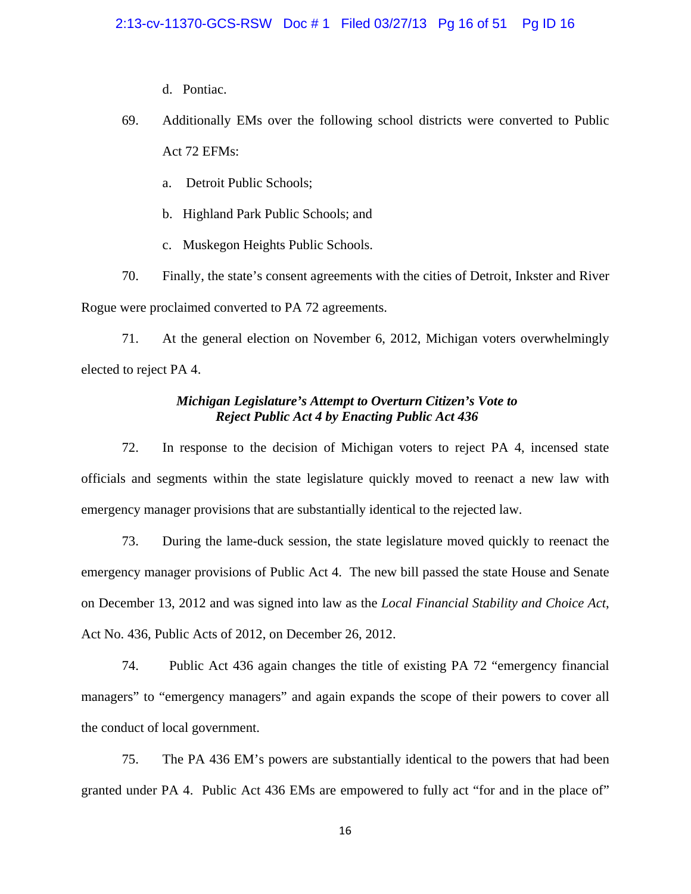- d. Pontiac.
- 69. Additionally EMs over the following school districts were converted to Public Act 72 EFMs:
	- a. Detroit Public Schools;
	- b. Highland Park Public Schools; and
	- c. Muskegon Heights Public Schools.

70. Finally, the state's consent agreements with the cities of Detroit, Inkster and River Rogue were proclaimed converted to PA 72 agreements.

71. At the general election on November 6, 2012, Michigan voters overwhelmingly elected to reject PA 4.

### *Michigan Legislature's Attempt to Overturn Citizen's Vote to Reject Public Act 4 by Enacting Public Act 436*

72. In response to the decision of Michigan voters to reject PA 4, incensed state officials and segments within the state legislature quickly moved to reenact a new law with emergency manager provisions that are substantially identical to the rejected law.

73. During the lame-duck session, the state legislature moved quickly to reenact the emergency manager provisions of Public Act 4. The new bill passed the state House and Senate on December 13, 2012 and was signed into law as the *Local Financial Stability and Choice Act*, Act No. 436, Public Acts of 2012, on December 26, 2012.

74. Public Act 436 again changes the title of existing PA 72 "emergency financial managers" to "emergency managers" and again expands the scope of their powers to cover all the conduct of local government.

75. The PA 436 EM's powers are substantially identical to the powers that had been granted under PA 4. Public Act 436 EMs are empowered to fully act "for and in the place of"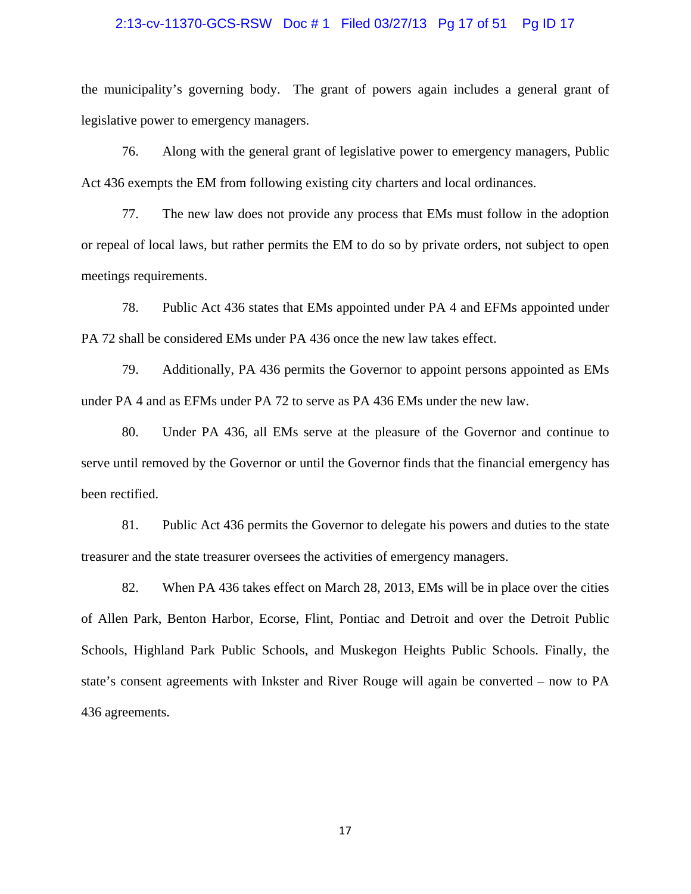#### 2:13-cv-11370-GCS-RSW Doc # 1 Filed 03/27/13 Pg 17 of 51 Pg ID 17

the municipality's governing body. The grant of powers again includes a general grant of legislative power to emergency managers.

76. Along with the general grant of legislative power to emergency managers, Public Act 436 exempts the EM from following existing city charters and local ordinances.

77. The new law does not provide any process that EMs must follow in the adoption or repeal of local laws, but rather permits the EM to do so by private orders, not subject to open meetings requirements.

78. Public Act 436 states that EMs appointed under PA 4 and EFMs appointed under PA 72 shall be considered EMs under PA 436 once the new law takes effect.

79. Additionally, PA 436 permits the Governor to appoint persons appointed as EMs under PA 4 and as EFMs under PA 72 to serve as PA 436 EMs under the new law.

80. Under PA 436, all EMs serve at the pleasure of the Governor and continue to serve until removed by the Governor or until the Governor finds that the financial emergency has been rectified.

81. Public Act 436 permits the Governor to delegate his powers and duties to the state treasurer and the state treasurer oversees the activities of emergency managers.

82. When PA 436 takes effect on March 28, 2013, EMs will be in place over the cities of Allen Park, Benton Harbor, Ecorse, Flint, Pontiac and Detroit and over the Detroit Public Schools, Highland Park Public Schools, and Muskegon Heights Public Schools. Finally, the state's consent agreements with Inkster and River Rouge will again be converted – now to PA 436 agreements.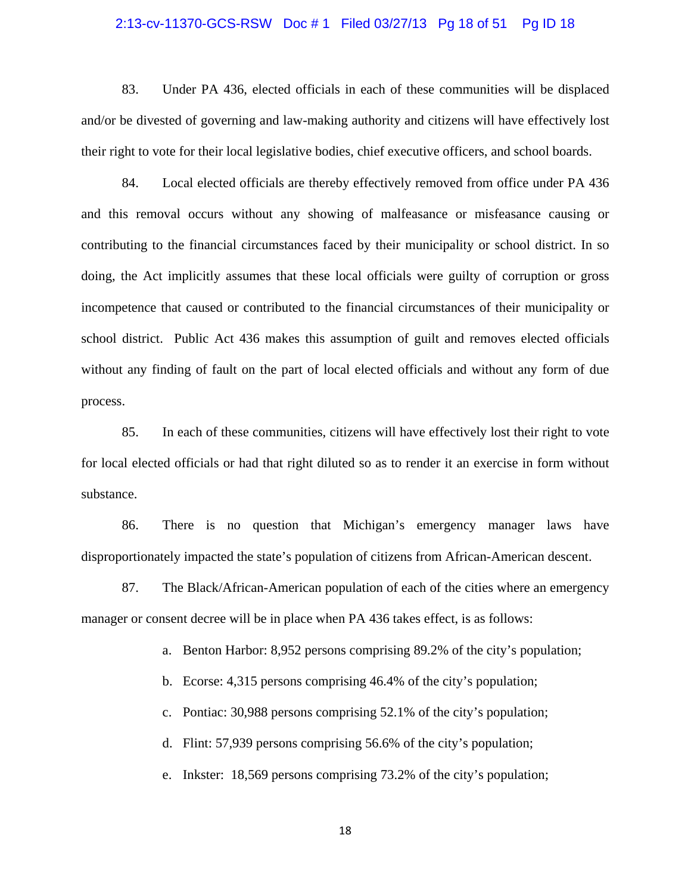#### 2:13-cv-11370-GCS-RSW Doc # 1 Filed 03/27/13 Pg 18 of 51 Pg ID 18

83. Under PA 436, elected officials in each of these communities will be displaced and/or be divested of governing and law-making authority and citizens will have effectively lost their right to vote for their local legislative bodies, chief executive officers, and school boards.

84. Local elected officials are thereby effectively removed from office under PA 436 and this removal occurs without any showing of malfeasance or misfeasance causing or contributing to the financial circumstances faced by their municipality or school district. In so doing, the Act implicitly assumes that these local officials were guilty of corruption or gross incompetence that caused or contributed to the financial circumstances of their municipality or school district. Public Act 436 makes this assumption of guilt and removes elected officials without any finding of fault on the part of local elected officials and without any form of due process.

85. In each of these communities, citizens will have effectively lost their right to vote for local elected officials or had that right diluted so as to render it an exercise in form without substance.

86. There is no question that Michigan's emergency manager laws have disproportionately impacted the state's population of citizens from African-American descent.

87. The Black/African-American population of each of the cities where an emergency manager or consent decree will be in place when PA 436 takes effect, is as follows:

a. Benton Harbor: 8,952 persons comprising 89.2% of the city's population;

b. Ecorse: 4,315 persons comprising 46.4% of the city's population;

c. Pontiac: 30,988 persons comprising 52.1% of the city's population;

d. Flint: 57,939 persons comprising 56.6% of the city's population;

e. Inkster: 18,569 persons comprising 73.2% of the city's population;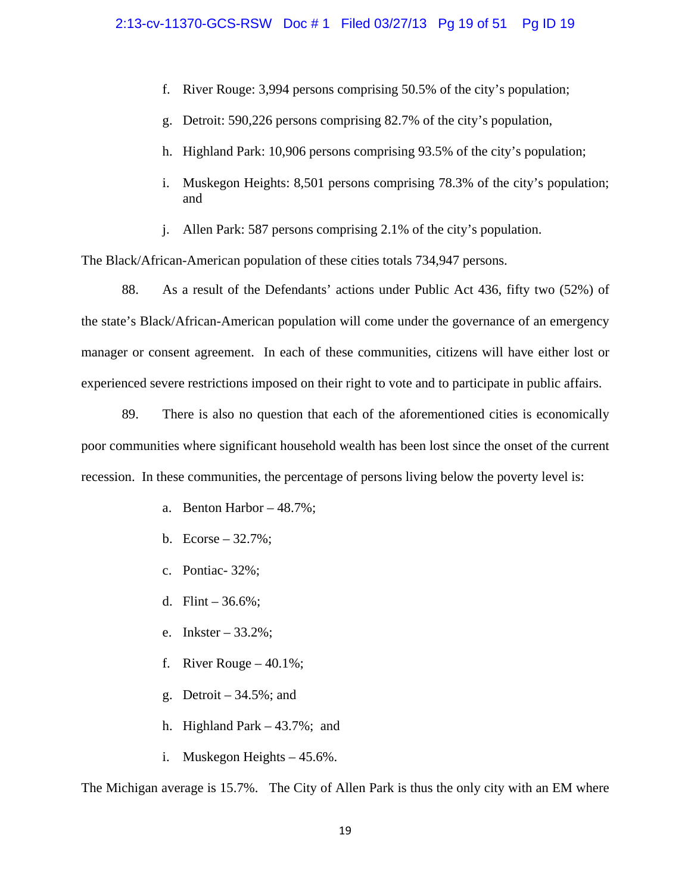- f. River Rouge: 3,994 persons comprising 50.5% of the city's population;
- g. Detroit: 590,226 persons comprising 82.7% of the city's population,
- h. Highland Park: 10,906 persons comprising 93.5% of the city's population;
- i. Muskegon Heights: 8,501 persons comprising 78.3% of the city's population; and
- j. Allen Park: 587 persons comprising 2.1% of the city's population.

The Black/African-American population of these cities totals 734,947 persons.

88. As a result of the Defendants' actions under Public Act 436, fifty two (52%) of the state's Black/African-American population will come under the governance of an emergency manager or consent agreement. In each of these communities, citizens will have either lost or experienced severe restrictions imposed on their right to vote and to participate in public affairs.

89. There is also no question that each of the aforementioned cities is economically poor communities where significant household wealth has been lost since the onset of the current recession. In these communities, the percentage of persons living below the poverty level is:

- a. Benton Harbor 48.7%;
- b. Ecorse  $32.7\%$ ;
- c. Pontiac- 32%;
- d. Flint  $36.6\%$ ;
- e. Inkster 33.2%;
- f. River Rouge  $-40.1\%$ ;
- g. Detroit  $-34.5\%$ ; and
- h. Highland Park 43.7%; and
- i. Muskegon Heights 45.6%.

The Michigan average is 15.7%. The City of Allen Park is thus the only city with an EM where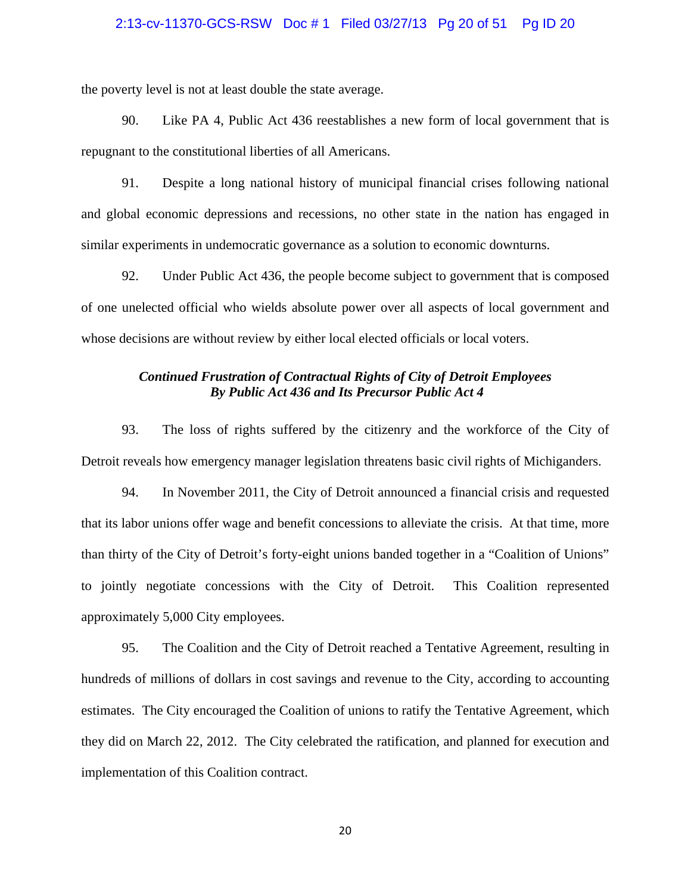#### 2:13-cv-11370-GCS-RSW Doc # 1 Filed 03/27/13 Pg 20 of 51 Pg ID 20

the poverty level is not at least double the state average.

90. Like PA 4, Public Act 436 reestablishes a new form of local government that is repugnant to the constitutional liberties of all Americans.

91. Despite a long national history of municipal financial crises following national and global economic depressions and recessions, no other state in the nation has engaged in similar experiments in undemocratic governance as a solution to economic downturns.

92. Under Public Act 436, the people become subject to government that is composed of one unelected official who wields absolute power over all aspects of local government and whose decisions are without review by either local elected officials or local voters.

### *Continued Frustration of Contractual Rights of City of Detroit Employees By Public Act 436 and Its Precursor Public Act 4*

93. The loss of rights suffered by the citizenry and the workforce of the City of Detroit reveals how emergency manager legislation threatens basic civil rights of Michiganders.

94. In November 2011, the City of Detroit announced a financial crisis and requested that its labor unions offer wage and benefit concessions to alleviate the crisis. At that time, more than thirty of the City of Detroit's forty-eight unions banded together in a "Coalition of Unions" to jointly negotiate concessions with the City of Detroit. This Coalition represented approximately 5,000 City employees.

95. The Coalition and the City of Detroit reached a Tentative Agreement, resulting in hundreds of millions of dollars in cost savings and revenue to the City, according to accounting estimates. The City encouraged the Coalition of unions to ratify the Tentative Agreement, which they did on March 22, 2012. The City celebrated the ratification, and planned for execution and implementation of this Coalition contract.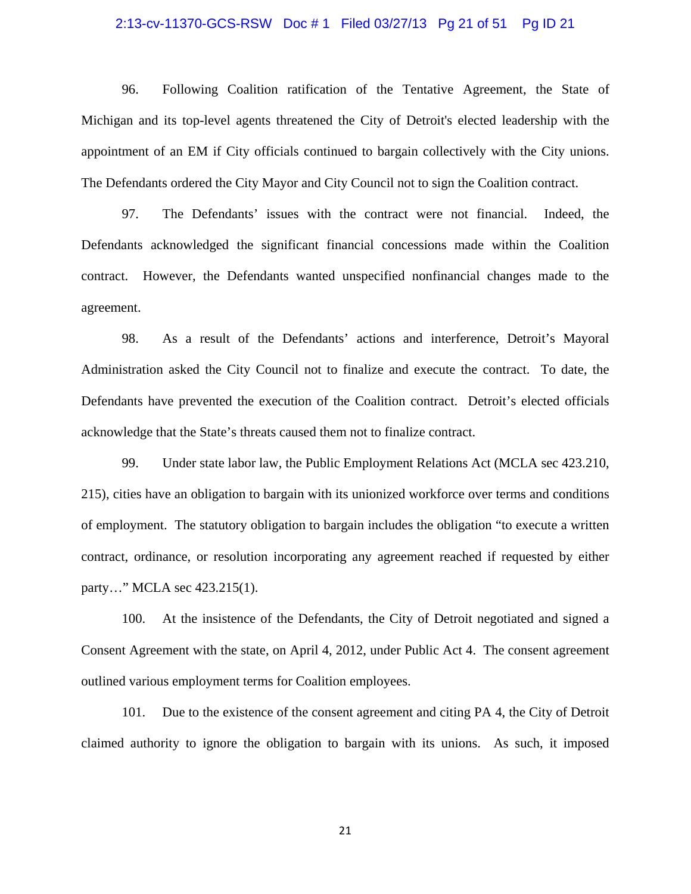#### 2:13-cv-11370-GCS-RSW Doc # 1 Filed 03/27/13 Pg 21 of 51 Pg ID 21

96. Following Coalition ratification of the Tentative Agreement, the State of Michigan and its top-level agents threatened the City of Detroit's elected leadership with the appointment of an EM if City officials continued to bargain collectively with the City unions. The Defendants ordered the City Mayor and City Council not to sign the Coalition contract.

97. The Defendants' issues with the contract were not financial. Indeed, the Defendants acknowledged the significant financial concessions made within the Coalition contract. However, the Defendants wanted unspecified nonfinancial changes made to the agreement.

98. As a result of the Defendants' actions and interference, Detroit's Mayoral Administration asked the City Council not to finalize and execute the contract. To date, the Defendants have prevented the execution of the Coalition contract. Detroit's elected officials acknowledge that the State's threats caused them not to finalize contract.

99. Under state labor law, the Public Employment Relations Act (MCLA sec 423.210, 215), cities have an obligation to bargain with its unionized workforce over terms and conditions of employment. The statutory obligation to bargain includes the obligation "to execute a written contract, ordinance, or resolution incorporating any agreement reached if requested by either party…" MCLA sec 423.215(1).

100. At the insistence of the Defendants, the City of Detroit negotiated and signed a Consent Agreement with the state, on April 4, 2012, under Public Act 4. The consent agreement outlined various employment terms for Coalition employees.

101. Due to the existence of the consent agreement and citing PA 4, the City of Detroit claimed authority to ignore the obligation to bargain with its unions. As such, it imposed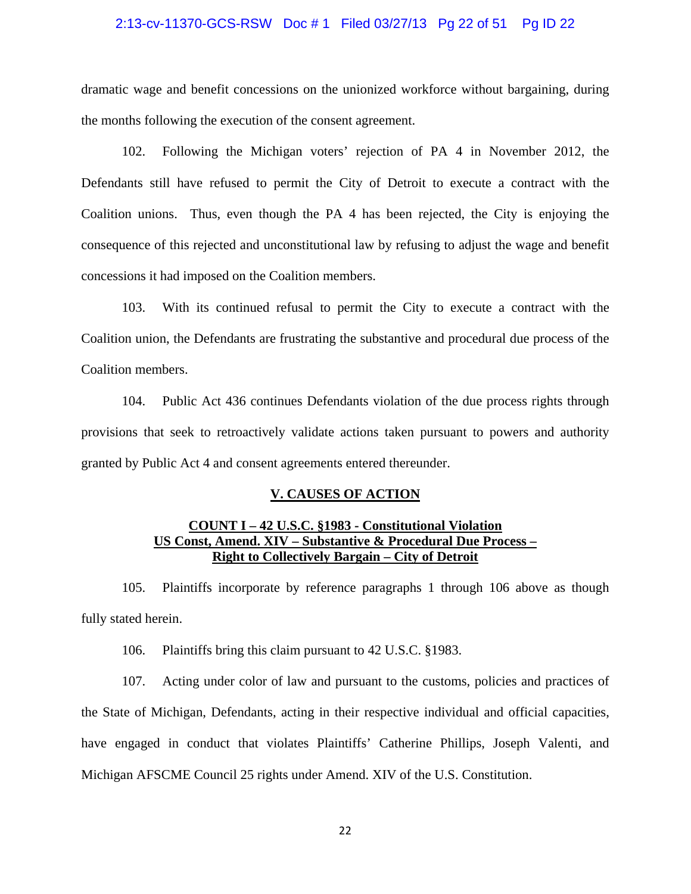#### 2:13-cv-11370-GCS-RSW Doc # 1 Filed 03/27/13 Pg 22 of 51 Pg ID 22

dramatic wage and benefit concessions on the unionized workforce without bargaining, during the months following the execution of the consent agreement.

102. Following the Michigan voters' rejection of PA 4 in November 2012, the Defendants still have refused to permit the City of Detroit to execute a contract with the Coalition unions. Thus, even though the PA 4 has been rejected, the City is enjoying the consequence of this rejected and unconstitutional law by refusing to adjust the wage and benefit concessions it had imposed on the Coalition members.

103. With its continued refusal to permit the City to execute a contract with the Coalition union, the Defendants are frustrating the substantive and procedural due process of the Coalition members.

104. Public Act 436 continues Defendants violation of the due process rights through provisions that seek to retroactively validate actions taken pursuant to powers and authority granted by Public Act 4 and consent agreements entered thereunder.

#### **V. CAUSES OF ACTION**

# **COUNT I – 42 U.S.C. §1983 - Constitutional Violation US Const, Amend. XIV – Substantive & Procedural Due Process – Right to Collectively Bargain – City of Detroit**

105. Plaintiffs incorporate by reference paragraphs 1 through 106 above as though fully stated herein.

106. Plaintiffs bring this claim pursuant to 42 U.S.C. §1983.

107. Acting under color of law and pursuant to the customs, policies and practices of the State of Michigan, Defendants, acting in their respective individual and official capacities, have engaged in conduct that violates Plaintiffs' Catherine Phillips, Joseph Valenti, and Michigan AFSCME Council 25 rights under Amend. XIV of the U.S. Constitution.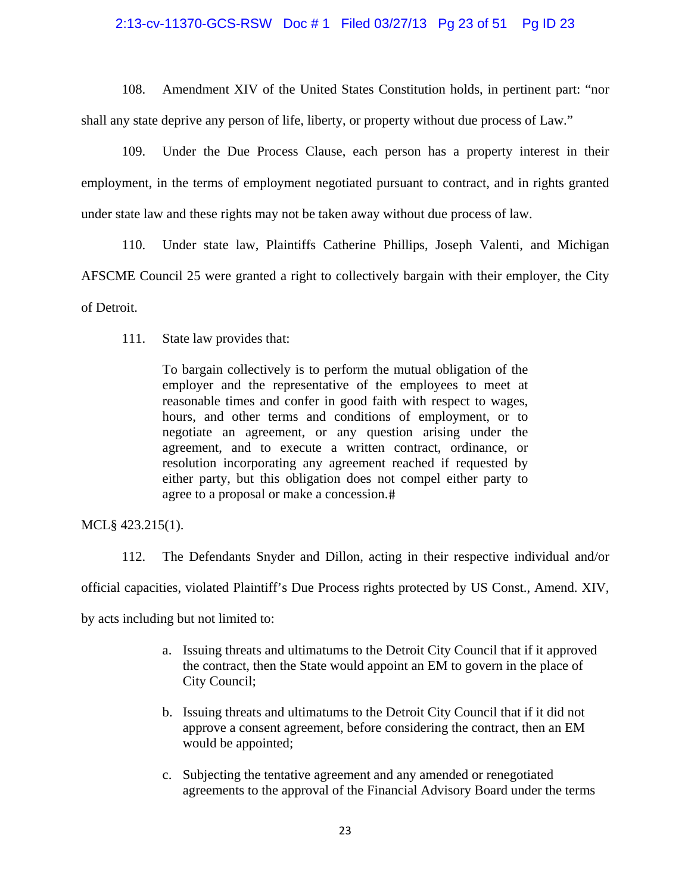### 2:13-cv-11370-GCS-RSW Doc # 1 Filed 03/27/13 Pg 23 of 51 Pg ID 23

108. Amendment XIV of the United States Constitution holds, in pertinent part: "nor shall any state deprive any person of life, liberty, or property without due process of Law."

109. Under the Due Process Clause, each person has a property interest in their employment, in the terms of employment negotiated pursuant to contract, and in rights granted under state law and these rights may not be taken away without due process of law.

110. Under state law, Plaintiffs Catherine Phillips, Joseph Valenti, and Michigan AFSCME Council 25 were granted a right to collectively bargain with their employer, the City of Detroit.

111. State law provides that:

To bargain collectively is to perform the mutual obligation of the employer and the representative of the employees to meet at reasonable times and confer in good faith with respect to wages, hours, and other terms and conditions of employment, or to negotiate an agreement, or any question arising under the agreement, and to execute a written contract, ordinance, or resolution incorporating any agreement reached if requested by either party, but this obligation does not compel either party to agree to a proposal or make a concession.

MCL§ 423.215(1).

112. The Defendants Snyder and Dillon, acting in their respective individual and/or

official capacities, violated Plaintiff's Due Process rights protected by US Const., Amend. XIV,

by acts including but not limited to:

- a. Issuing threats and ultimatums to the Detroit City Council that if it approved the contract, then the State would appoint an EM to govern in the place of City Council;
- b. Issuing threats and ultimatums to the Detroit City Council that if it did not approve a consent agreement, before considering the contract, then an EM would be appointed;
- c. Subjecting the tentative agreement and any amended or renegotiated agreements to the approval of the Financial Advisory Board under the terms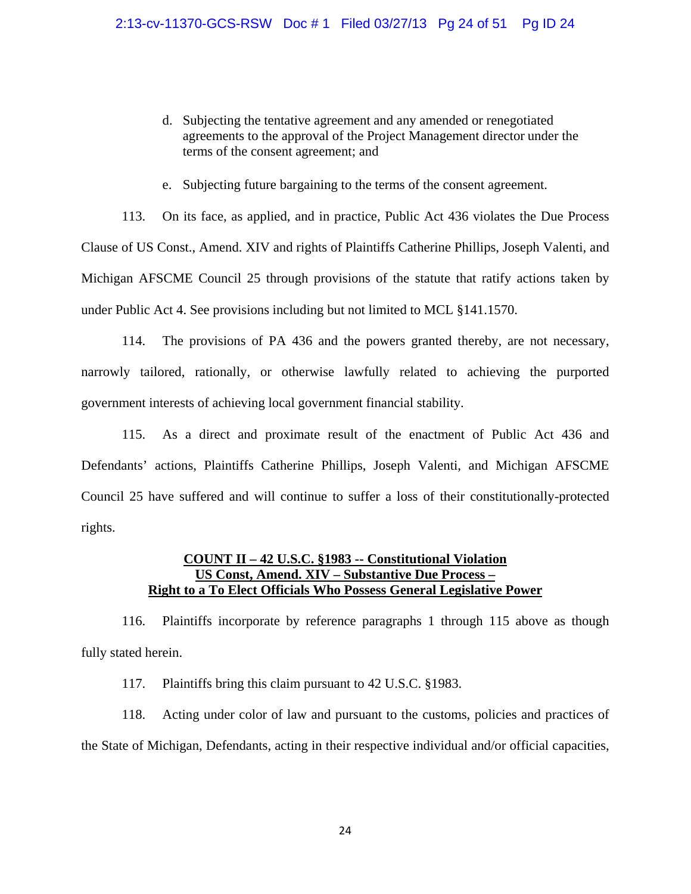- d. Subjecting the tentative agreement and any amended or renegotiated agreements to the approval of the Project Management director under the terms of the consent agreement; and
- e. Subjecting future bargaining to the terms of the consent agreement.

113. On its face, as applied, and in practice, Public Act 436 violates the Due Process Clause of US Const., Amend. XIV and rights of Plaintiffs Catherine Phillips, Joseph Valenti, and Michigan AFSCME Council 25 through provisions of the statute that ratify actions taken by under Public Act 4. See provisions including but not limited to MCL §141.1570.

114. The provisions of PA 436 and the powers granted thereby, are not necessary, narrowly tailored, rationally, or otherwise lawfully related to achieving the purported government interests of achieving local government financial stability.

115. As a direct and proximate result of the enactment of Public Act 436 and Defendants' actions, Plaintiffs Catherine Phillips, Joseph Valenti, and Michigan AFSCME Council 25 have suffered and will continue to suffer a loss of their constitutionally-protected rights.

### **COUNT II – 42 U.S.C. §1983 -- Constitutional Violation US Const, Amend. XIV – Substantive Due Process – Right to a To Elect Officials Who Possess General Legislative Power**

116. Plaintiffs incorporate by reference paragraphs 1 through 115 above as though fully stated herein.

117. Plaintiffs bring this claim pursuant to 42 U.S.C. §1983.

118. Acting under color of law and pursuant to the customs, policies and practices of the State of Michigan, Defendants, acting in their respective individual and/or official capacities,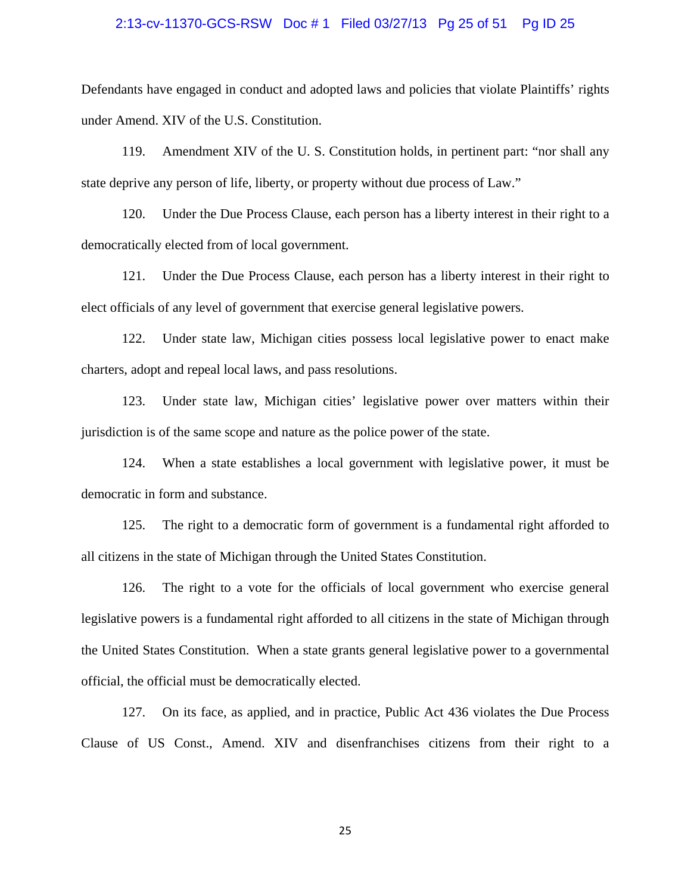#### 2:13-cv-11370-GCS-RSW Doc # 1 Filed 03/27/13 Pg 25 of 51 Pg ID 25

Defendants have engaged in conduct and adopted laws and policies that violate Plaintiffs' rights under Amend. XIV of the U.S. Constitution.

119. Amendment XIV of the U. S. Constitution holds, in pertinent part: "nor shall any state deprive any person of life, liberty, or property without due process of Law."

120. Under the Due Process Clause, each person has a liberty interest in their right to a democratically elected from of local government.

121. Under the Due Process Clause, each person has a liberty interest in their right to elect officials of any level of government that exercise general legislative powers.

122. Under state law, Michigan cities possess local legislative power to enact make charters, adopt and repeal local laws, and pass resolutions.

123. Under state law, Michigan cities' legislative power over matters within their jurisdiction is of the same scope and nature as the police power of the state.

124. When a state establishes a local government with legislative power, it must be democratic in form and substance.

125. The right to a democratic form of government is a fundamental right afforded to all citizens in the state of Michigan through the United States Constitution.

126. The right to a vote for the officials of local government who exercise general legislative powers is a fundamental right afforded to all citizens in the state of Michigan through the United States Constitution. When a state grants general legislative power to a governmental official, the official must be democratically elected.

127. On its face, as applied, and in practice, Public Act 436 violates the Due Process Clause of US Const., Amend. XIV and disenfranchises citizens from their right to a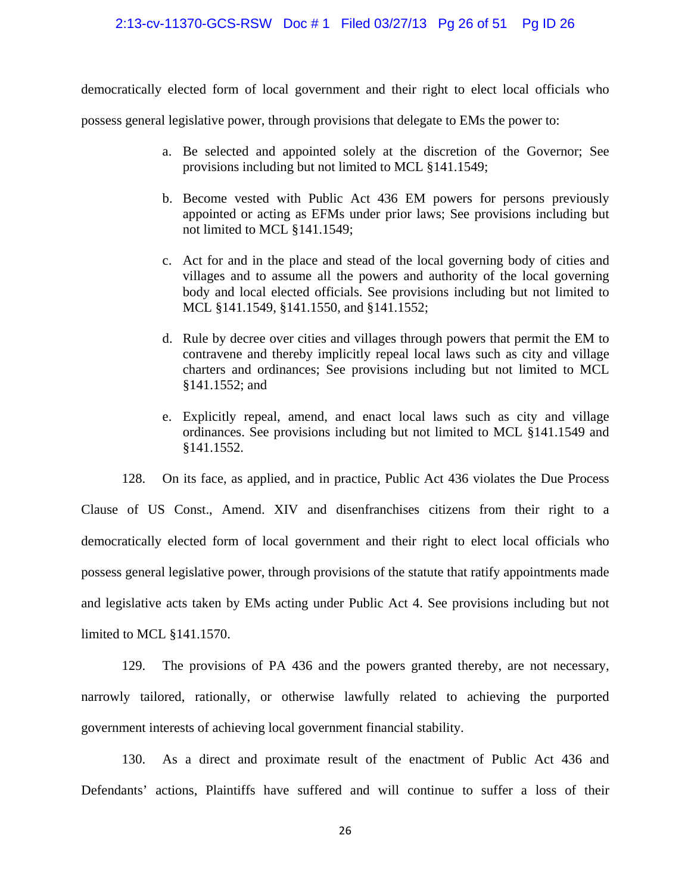#### 2:13-cv-11370-GCS-RSW Doc # 1 Filed 03/27/13 Pg 26 of 51 Pg ID 26

democratically elected form of local government and their right to elect local officials who

possess general legislative power, through provisions that delegate to EMs the power to:

- a. Be selected and appointed solely at the discretion of the Governor; See provisions including but not limited to MCL §141.1549;
- b. Become vested with Public Act 436 EM powers for persons previously appointed or acting as EFMs under prior laws; See provisions including but not limited to MCL §141.1549;
- c. Act for and in the place and stead of the local governing body of cities and villages and to assume all the powers and authority of the local governing body and local elected officials. See provisions including but not limited to MCL §141.1549, §141.1550, and §141.1552;
- d. Rule by decree over cities and villages through powers that permit the EM to contravene and thereby implicitly repeal local laws such as city and village charters and ordinances; See provisions including but not limited to MCL §141.1552; and
- e. Explicitly repeal, amend, and enact local laws such as city and village ordinances. See provisions including but not limited to MCL §141.1549 and §141.1552.

128. On its face, as applied, and in practice, Public Act 436 violates the Due Process Clause of US Const., Amend. XIV and disenfranchises citizens from their right to a democratically elected form of local government and their right to elect local officials who possess general legislative power, through provisions of the statute that ratify appointments made and legislative acts taken by EMs acting under Public Act 4. See provisions including but not limited to MCL §141.1570.

129. The provisions of PA 436 and the powers granted thereby, are not necessary, narrowly tailored, rationally, or otherwise lawfully related to achieving the purported government interests of achieving local government financial stability.

130. As a direct and proximate result of the enactment of Public Act 436 and Defendants' actions, Plaintiffs have suffered and will continue to suffer a loss of their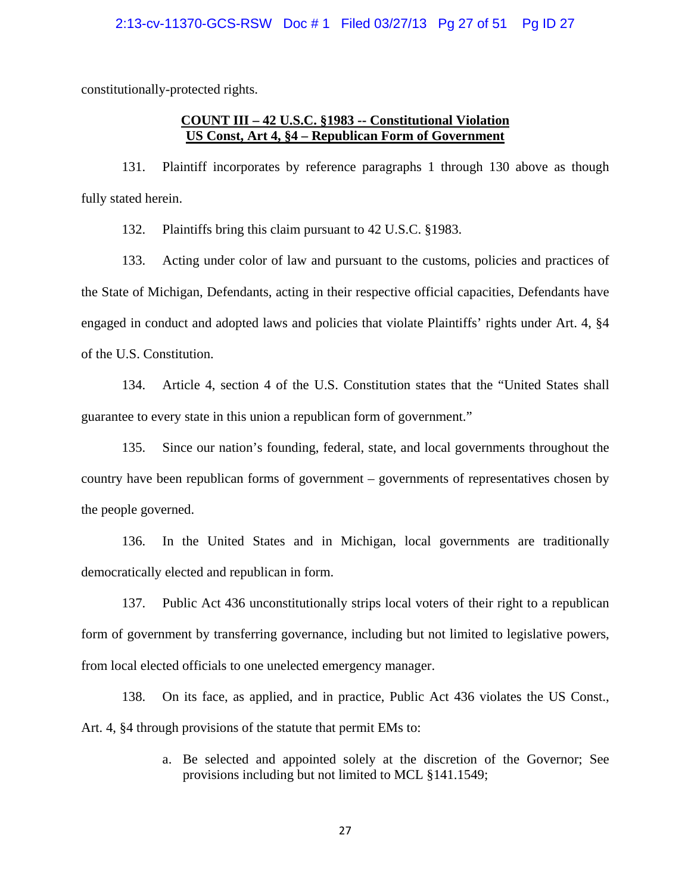constitutionally-protected rights.

# **COUNT III – 42 U.S.C. §1983 -- Constitutional Violation US Const, Art 4, §4 – Republican Form of Government**

131. Plaintiff incorporates by reference paragraphs 1 through 130 above as though fully stated herein.

132. Plaintiffs bring this claim pursuant to 42 U.S.C. §1983.

133. Acting under color of law and pursuant to the customs, policies and practices of the State of Michigan, Defendants, acting in their respective official capacities, Defendants have engaged in conduct and adopted laws and policies that violate Plaintiffs' rights under Art. 4, §4 of the U.S. Constitution.

134. Article 4, section 4 of the U.S. Constitution states that the "United States shall guarantee to every state in this union a republican form of government."

135. Since our nation's founding, federal, state, and local governments throughout the country have been republican forms of government – governments of representatives chosen by the people governed.

136. In the United States and in Michigan, local governments are traditionally democratically elected and republican in form.

137. Public Act 436 unconstitutionally strips local voters of their right to a republican form of government by transferring governance, including but not limited to legislative powers, from local elected officials to one unelected emergency manager.

138. On its face, as applied, and in practice, Public Act 436 violates the US Const., Art. 4, §4 through provisions of the statute that permit EMs to:

> a. Be selected and appointed solely at the discretion of the Governor; See provisions including but not limited to MCL §141.1549;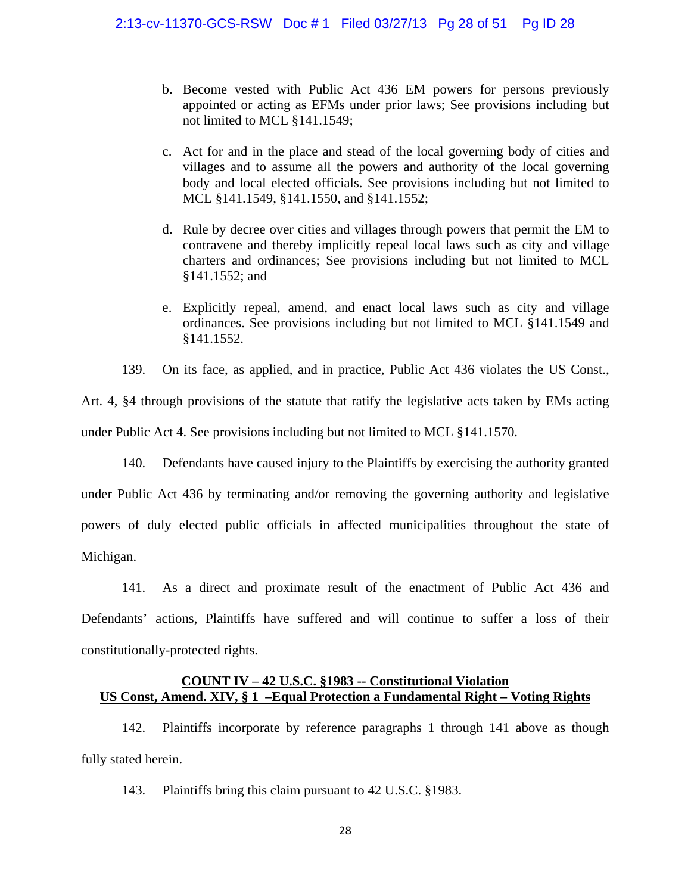- b. Become vested with Public Act 436 EM powers for persons previously appointed or acting as EFMs under prior laws; See provisions including but not limited to MCL §141.1549;
- c. Act for and in the place and stead of the local governing body of cities and villages and to assume all the powers and authority of the local governing body and local elected officials. See provisions including but not limited to MCL §141.1549, §141.1550, and §141.1552;
- d. Rule by decree over cities and villages through powers that permit the EM to contravene and thereby implicitly repeal local laws such as city and village charters and ordinances; See provisions including but not limited to MCL §141.1552; and
- e. Explicitly repeal, amend, and enact local laws such as city and village ordinances. See provisions including but not limited to MCL §141.1549 and §141.1552.

139. On its face, as applied, and in practice, Public Act 436 violates the US Const.,

Art. 4, §4 through provisions of the statute that ratify the legislative acts taken by EMs acting under Public Act 4. See provisions including but not limited to MCL §141.1570.

140. Defendants have caused injury to the Plaintiffs by exercising the authority granted under Public Act 436 by terminating and/or removing the governing authority and legislative powers of duly elected public officials in affected municipalities throughout the state of Michigan.

141. As a direct and proximate result of the enactment of Public Act 436 and Defendants' actions, Plaintiffs have suffered and will continue to suffer a loss of their constitutionally-protected rights.

### **COUNT IV – 42 U.S.C. §1983 -- Constitutional Violation US Const, Amend. XIV, § 1 –Equal Protection a Fundamental Right – Voting Rights**

142. Plaintiffs incorporate by reference paragraphs 1 through 141 above as though fully stated herein.

143. Plaintiffs bring this claim pursuant to 42 U.S.C. §1983.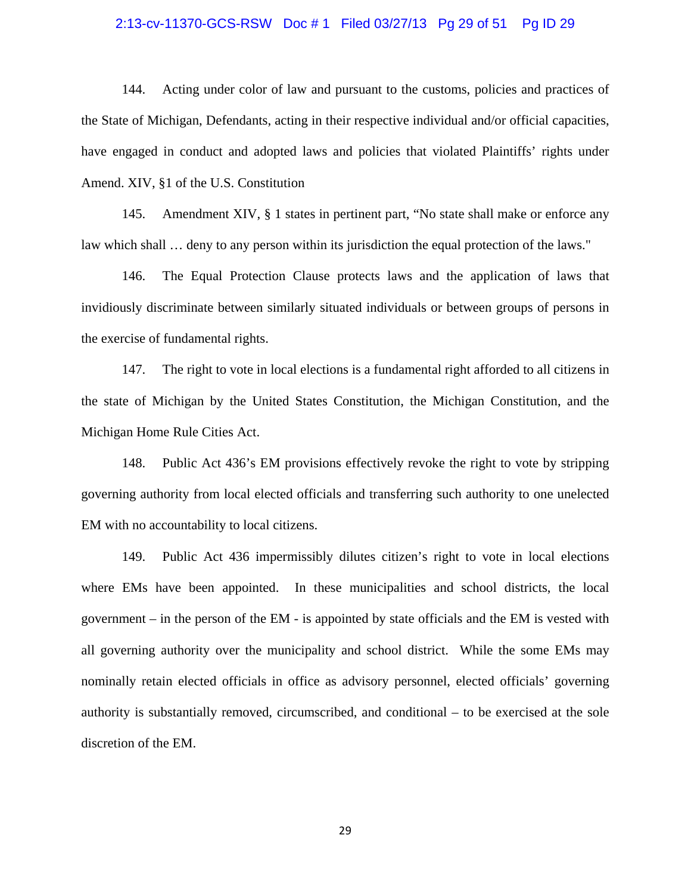#### 2:13-cv-11370-GCS-RSW Doc # 1 Filed 03/27/13 Pg 29 of 51 Pg ID 29

144. Acting under color of law and pursuant to the customs, policies and practices of the State of Michigan, Defendants, acting in their respective individual and/or official capacities, have engaged in conduct and adopted laws and policies that violated Plaintiffs' rights under Amend. XIV, §1 of the U.S. Constitution

145. Amendment XIV, § 1 states in pertinent part, "No state shall make or enforce any law which shall … deny to any person within its jurisdiction the equal protection of the laws."

146. The Equal Protection Clause protects laws and the application of laws that invidiously discriminate between similarly situated individuals or between groups of persons in the exercise of fundamental rights.

147. The right to vote in local elections is a fundamental right afforded to all citizens in the state of Michigan by the United States Constitution, the Michigan Constitution, and the Michigan Home Rule Cities Act.

148. Public Act 436's EM provisions effectively revoke the right to vote by stripping governing authority from local elected officials and transferring such authority to one unelected EM with no accountability to local citizens.

149. Public Act 436 impermissibly dilutes citizen's right to vote in local elections where EMs have been appointed. In these municipalities and school districts, the local government – in the person of the EM - is appointed by state officials and the EM is vested with all governing authority over the municipality and school district. While the some EMs may nominally retain elected officials in office as advisory personnel, elected officials' governing authority is substantially removed, circumscribed, and conditional – to be exercised at the sole discretion of the EM.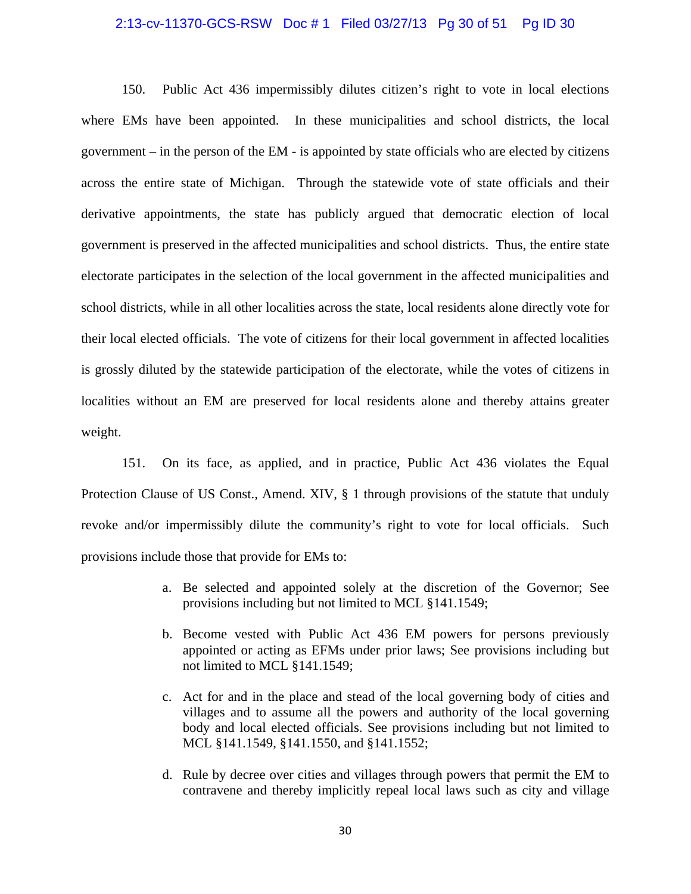#### 2:13-cv-11370-GCS-RSW Doc # 1 Filed 03/27/13 Pg 30 of 51 Pg ID 30

150. Public Act 436 impermissibly dilutes citizen's right to vote in local elections where EMs have been appointed. In these municipalities and school districts, the local government – in the person of the EM - is appointed by state officials who are elected by citizens across the entire state of Michigan. Through the statewide vote of state officials and their derivative appointments, the state has publicly argued that democratic election of local government is preserved in the affected municipalities and school districts. Thus, the entire state electorate participates in the selection of the local government in the affected municipalities and school districts, while in all other localities across the state, local residents alone directly vote for their local elected officials. The vote of citizens for their local government in affected localities is grossly diluted by the statewide participation of the electorate, while the votes of citizens in localities without an EM are preserved for local residents alone and thereby attains greater weight.

151. On its face, as applied, and in practice, Public Act 436 violates the Equal Protection Clause of US Const., Amend. XIV, § 1 through provisions of the statute that unduly revoke and/or impermissibly dilute the community's right to vote for local officials. Such provisions include those that provide for EMs to:

- a. Be selected and appointed solely at the discretion of the Governor; See provisions including but not limited to MCL §141.1549;
- b. Become vested with Public Act 436 EM powers for persons previously appointed or acting as EFMs under prior laws; See provisions including but not limited to MCL §141.1549;
- c. Act for and in the place and stead of the local governing body of cities and villages and to assume all the powers and authority of the local governing body and local elected officials. See provisions including but not limited to MCL §141.1549, §141.1550, and §141.1552;
- d. Rule by decree over cities and villages through powers that permit the EM to contravene and thereby implicitly repeal local laws such as city and village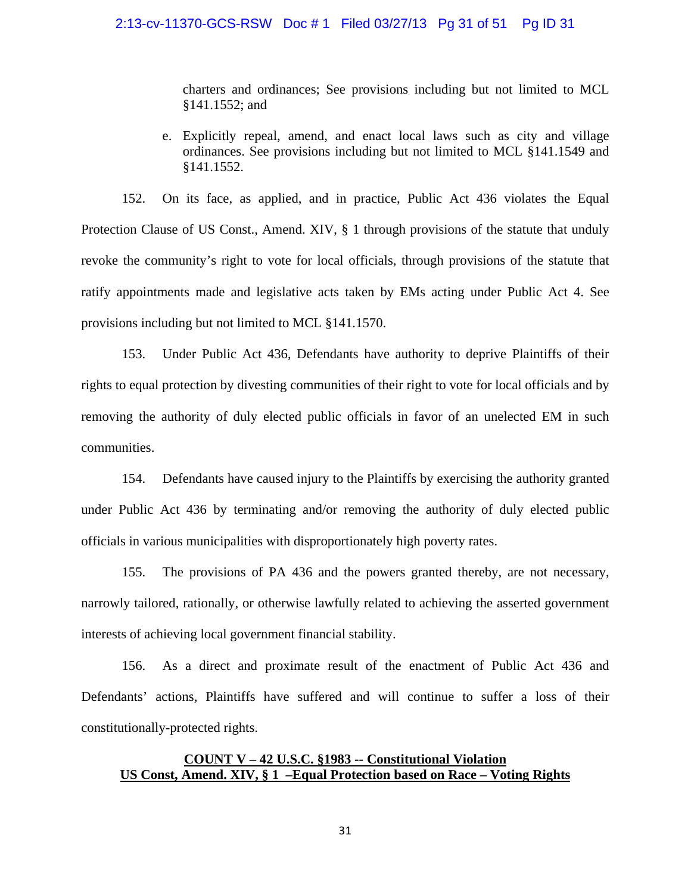#### 2:13-cv-11370-GCS-RSW Doc # 1 Filed 03/27/13 Pg 31 of 51 Pg ID 31

charters and ordinances; See provisions including but not limited to MCL §141.1552; and

e. Explicitly repeal, amend, and enact local laws such as city and village ordinances. See provisions including but not limited to MCL §141.1549 and §141.1552.

152. On its face, as applied, and in practice, Public Act 436 violates the Equal Protection Clause of US Const., Amend. XIV, § 1 through provisions of the statute that unduly revoke the community's right to vote for local officials, through provisions of the statute that ratify appointments made and legislative acts taken by EMs acting under Public Act 4. See provisions including but not limited to MCL §141.1570.

153. Under Public Act 436, Defendants have authority to deprive Plaintiffs of their rights to equal protection by divesting communities of their right to vote for local officials and by removing the authority of duly elected public officials in favor of an unelected EM in such communities.

154. Defendants have caused injury to the Plaintiffs by exercising the authority granted under Public Act 436 by terminating and/or removing the authority of duly elected public officials in various municipalities with disproportionately high poverty rates.

155. The provisions of PA 436 and the powers granted thereby, are not necessary, narrowly tailored, rationally, or otherwise lawfully related to achieving the asserted government interests of achieving local government financial stability.

156. As a direct and proximate result of the enactment of Public Act 436 and Defendants' actions, Plaintiffs have suffered and will continue to suffer a loss of their constitutionally-protected rights.

# **COUNT V – 42 U.S.C. §1983 -- Constitutional Violation US Const, Amend. XIV, § 1 –Equal Protection based on Race – Voting Rights**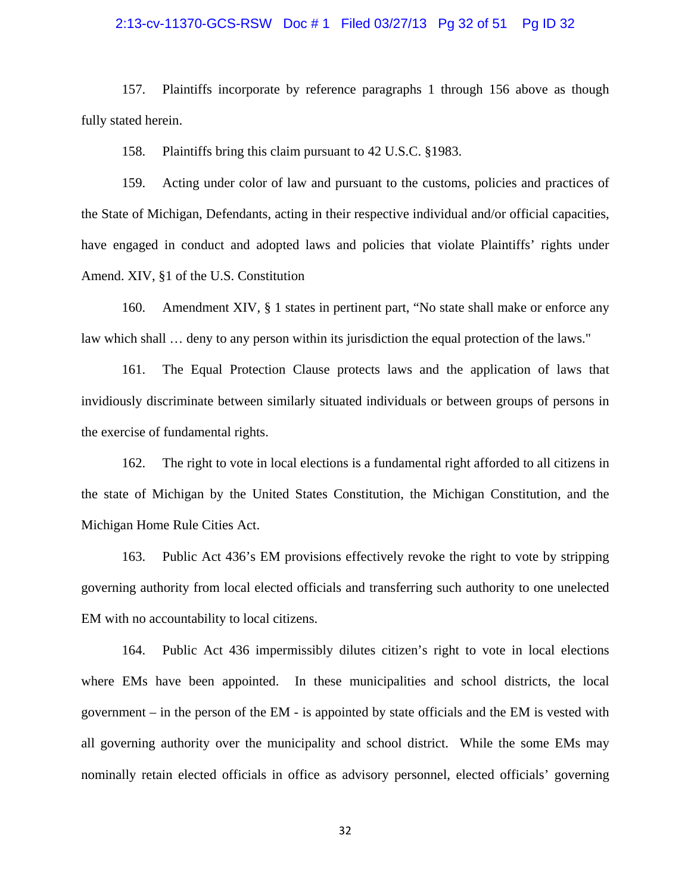#### 2:13-cv-11370-GCS-RSW Doc # 1 Filed 03/27/13 Pg 32 of 51 Pg ID 32

157. Plaintiffs incorporate by reference paragraphs 1 through 156 above as though fully stated herein.

158. Plaintiffs bring this claim pursuant to 42 U.S.C. §1983.

159. Acting under color of law and pursuant to the customs, policies and practices of the State of Michigan, Defendants, acting in their respective individual and/or official capacities, have engaged in conduct and adopted laws and policies that violate Plaintiffs' rights under Amend. XIV, §1 of the U.S. Constitution

160. Amendment XIV, § 1 states in pertinent part, "No state shall make or enforce any law which shall ... deny to any person within its jurisdiction the equal protection of the laws."

161. The Equal Protection Clause protects laws and the application of laws that invidiously discriminate between similarly situated individuals or between groups of persons in the exercise of fundamental rights.

162. The right to vote in local elections is a fundamental right afforded to all citizens in the state of Michigan by the United States Constitution, the Michigan Constitution, and the Michigan Home Rule Cities Act.

163. Public Act 436's EM provisions effectively revoke the right to vote by stripping governing authority from local elected officials and transferring such authority to one unelected EM with no accountability to local citizens.

164. Public Act 436 impermissibly dilutes citizen's right to vote in local elections where EMs have been appointed. In these municipalities and school districts, the local government – in the person of the EM - is appointed by state officials and the EM is vested with all governing authority over the municipality and school district. While the some EMs may nominally retain elected officials in office as advisory personnel, elected officials' governing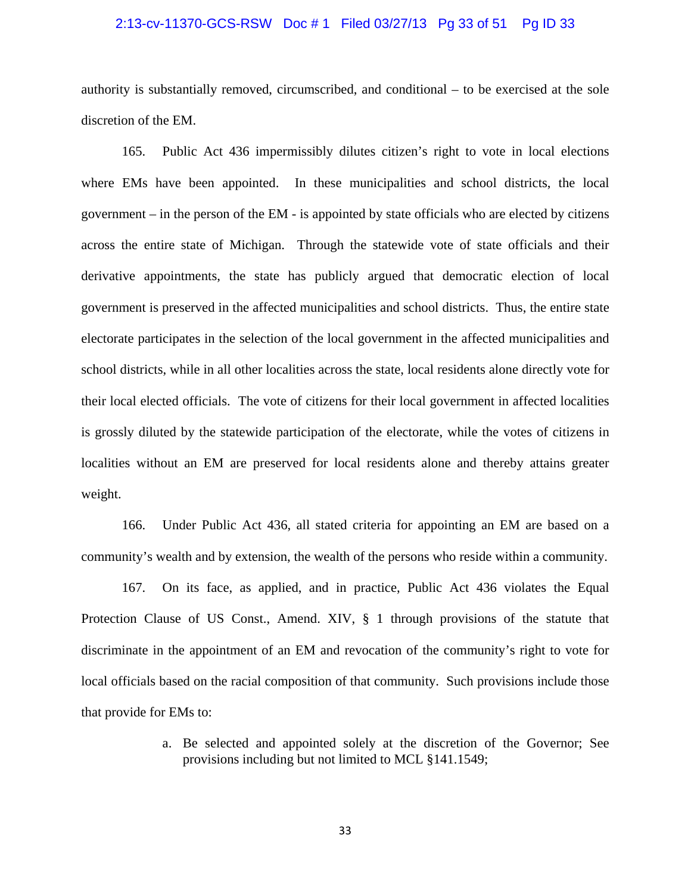#### 2:13-cv-11370-GCS-RSW Doc # 1 Filed 03/27/13 Pg 33 of 51 Pg ID 33

authority is substantially removed, circumscribed, and conditional – to be exercised at the sole discretion of the EM.

165. Public Act 436 impermissibly dilutes citizen's right to vote in local elections where EMs have been appointed. In these municipalities and school districts, the local government – in the person of the EM - is appointed by state officials who are elected by citizens across the entire state of Michigan. Through the statewide vote of state officials and their derivative appointments, the state has publicly argued that democratic election of local government is preserved in the affected municipalities and school districts. Thus, the entire state electorate participates in the selection of the local government in the affected municipalities and school districts, while in all other localities across the state, local residents alone directly vote for their local elected officials. The vote of citizens for their local government in affected localities is grossly diluted by the statewide participation of the electorate, while the votes of citizens in localities without an EM are preserved for local residents alone and thereby attains greater weight.

166. Under Public Act 436, all stated criteria for appointing an EM are based on a community's wealth and by extension, the wealth of the persons who reside within a community.

167. On its face, as applied, and in practice, Public Act 436 violates the Equal Protection Clause of US Const., Amend. XIV, § 1 through provisions of the statute that discriminate in the appointment of an EM and revocation of the community's right to vote for local officials based on the racial composition of that community. Such provisions include those that provide for EMs to:

> a. Be selected and appointed solely at the discretion of the Governor; See provisions including but not limited to MCL §141.1549;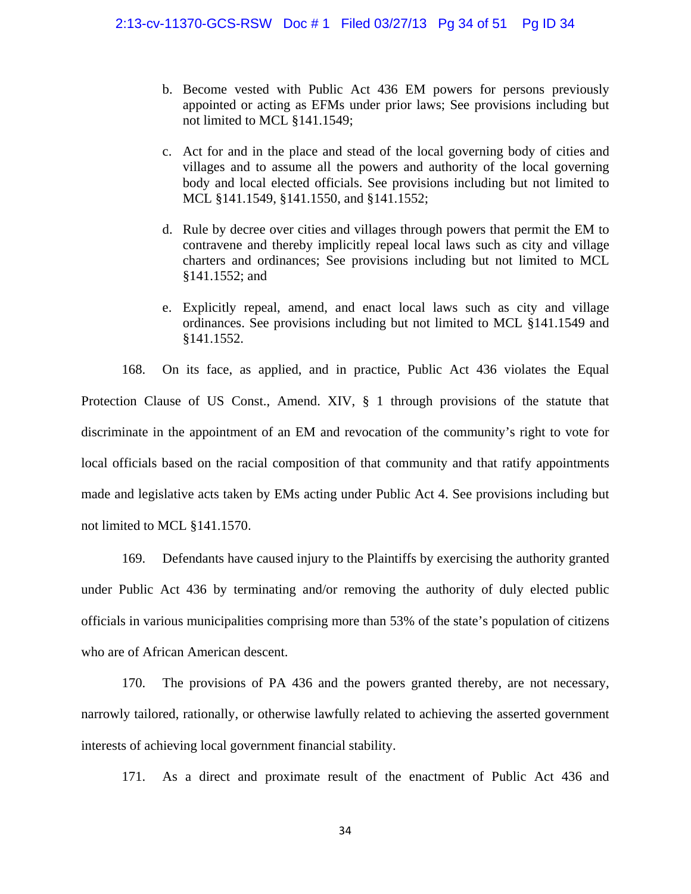- b. Become vested with Public Act 436 EM powers for persons previously appointed or acting as EFMs under prior laws; See provisions including but not limited to MCL §141.1549;
- c. Act for and in the place and stead of the local governing body of cities and villages and to assume all the powers and authority of the local governing body and local elected officials. See provisions including but not limited to MCL §141.1549, §141.1550, and §141.1552;
- d. Rule by decree over cities and villages through powers that permit the EM to contravene and thereby implicitly repeal local laws such as city and village charters and ordinances; See provisions including but not limited to MCL §141.1552; and
- e. Explicitly repeal, amend, and enact local laws such as city and village ordinances. See provisions including but not limited to MCL §141.1549 and §141.1552.

168. On its face, as applied, and in practice, Public Act 436 violates the Equal Protection Clause of US Const., Amend. XIV, § 1 through provisions of the statute that discriminate in the appointment of an EM and revocation of the community's right to vote for local officials based on the racial composition of that community and that ratify appointments made and legislative acts taken by EMs acting under Public Act 4. See provisions including but not limited to MCL §141.1570.

169. Defendants have caused injury to the Plaintiffs by exercising the authority granted under Public Act 436 by terminating and/or removing the authority of duly elected public officials in various municipalities comprising more than 53% of the state's population of citizens who are of African American descent.

170. The provisions of PA 436 and the powers granted thereby, are not necessary, narrowly tailored, rationally, or otherwise lawfully related to achieving the asserted government interests of achieving local government financial stability.

171. As a direct and proximate result of the enactment of Public Act 436 and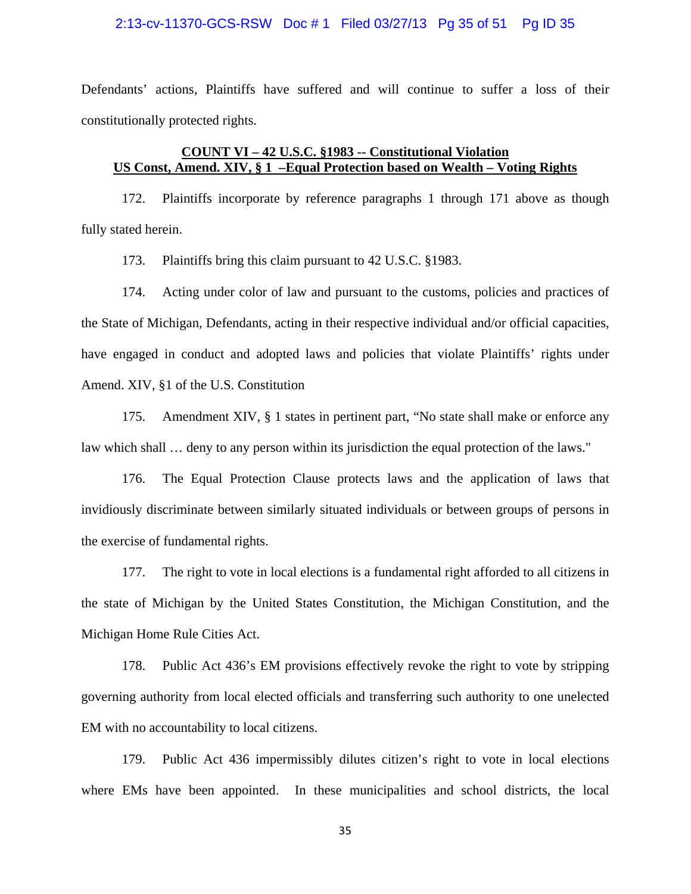#### 2:13-cv-11370-GCS-RSW Doc # 1 Filed 03/27/13 Pg 35 of 51 Pg ID 35

Defendants' actions, Plaintiffs have suffered and will continue to suffer a loss of their constitutionally protected rights.

# **COUNT VI – 42 U.S.C. §1983 -- Constitutional Violation US Const, Amend. XIV, § 1 –Equal Protection based on Wealth – Voting Rights**

172. Plaintiffs incorporate by reference paragraphs 1 through 171 above as though fully stated herein.

173. Plaintiffs bring this claim pursuant to 42 U.S.C. §1983.

174. Acting under color of law and pursuant to the customs, policies and practices of the State of Michigan, Defendants, acting in their respective individual and/or official capacities, have engaged in conduct and adopted laws and policies that violate Plaintiffs' rights under Amend. XIV, §1 of the U.S. Constitution

175. Amendment XIV, § 1 states in pertinent part, "No state shall make or enforce any law which shall … deny to any person within its jurisdiction the equal protection of the laws."

176. The Equal Protection Clause protects laws and the application of laws that invidiously discriminate between similarly situated individuals or between groups of persons in the exercise of fundamental rights.

177. The right to vote in local elections is a fundamental right afforded to all citizens in the state of Michigan by the United States Constitution, the Michigan Constitution, and the Michigan Home Rule Cities Act.

178. Public Act 436's EM provisions effectively revoke the right to vote by stripping governing authority from local elected officials and transferring such authority to one unelected EM with no accountability to local citizens.

179. Public Act 436 impermissibly dilutes citizen's right to vote in local elections where EMs have been appointed. In these municipalities and school districts, the local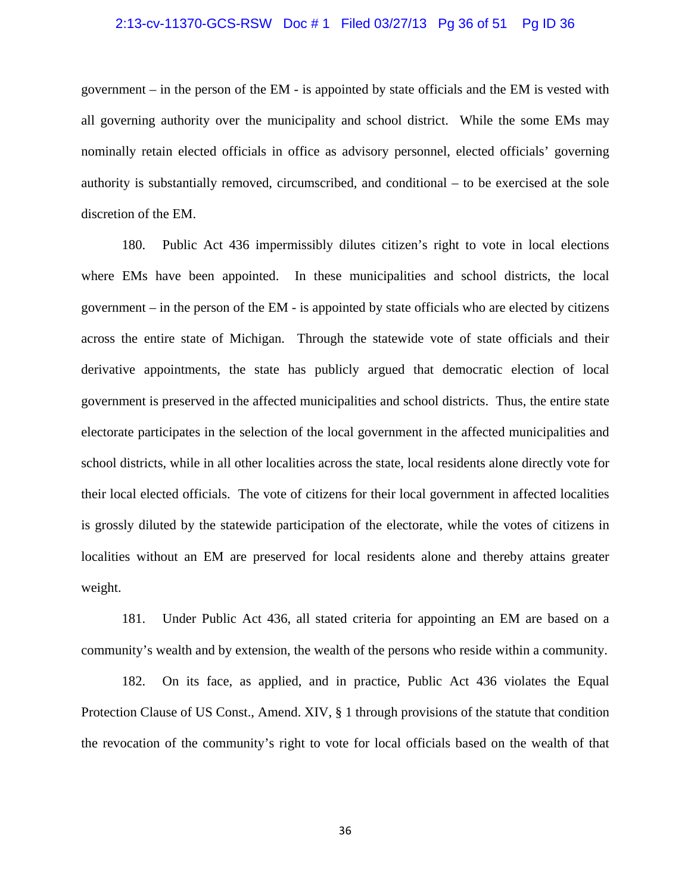#### 2:13-cv-11370-GCS-RSW Doc # 1 Filed 03/27/13 Pg 36 of 51 Pg ID 36

government – in the person of the EM - is appointed by state officials and the EM is vested with all governing authority over the municipality and school district. While the some EMs may nominally retain elected officials in office as advisory personnel, elected officials' governing authority is substantially removed, circumscribed, and conditional – to be exercised at the sole discretion of the EM.

180. Public Act 436 impermissibly dilutes citizen's right to vote in local elections where EMs have been appointed. In these municipalities and school districts, the local government – in the person of the EM - is appointed by state officials who are elected by citizens across the entire state of Michigan. Through the statewide vote of state officials and their derivative appointments, the state has publicly argued that democratic election of local government is preserved in the affected municipalities and school districts. Thus, the entire state electorate participates in the selection of the local government in the affected municipalities and school districts, while in all other localities across the state, local residents alone directly vote for their local elected officials. The vote of citizens for their local government in affected localities is grossly diluted by the statewide participation of the electorate, while the votes of citizens in localities without an EM are preserved for local residents alone and thereby attains greater weight.

181. Under Public Act 436, all stated criteria for appointing an EM are based on a community's wealth and by extension, the wealth of the persons who reside within a community.

182. On its face, as applied, and in practice, Public Act 436 violates the Equal Protection Clause of US Const., Amend. XIV, § 1 through provisions of the statute that condition the revocation of the community's right to vote for local officials based on the wealth of that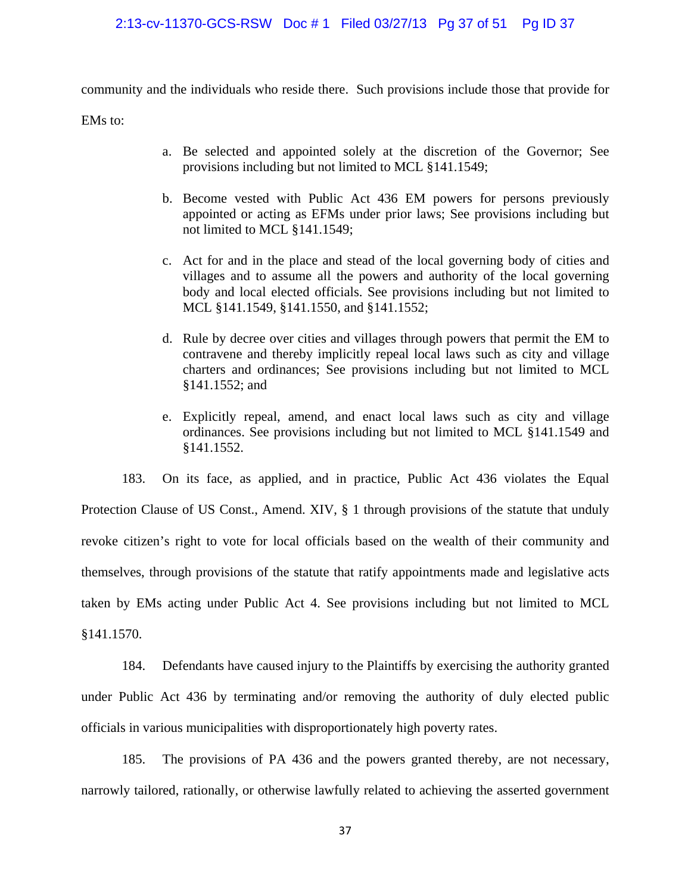# 2:13-cv-11370-GCS-RSW Doc # 1 Filed 03/27/13 Pg 37 of 51 Pg ID 37

community and the individuals who reside there. Such provisions include those that provide for

EMs to:

- a. Be selected and appointed solely at the discretion of the Governor; See provisions including but not limited to MCL §141.1549;
- b. Become vested with Public Act 436 EM powers for persons previously appointed or acting as EFMs under prior laws; See provisions including but not limited to MCL §141.1549;
- c. Act for and in the place and stead of the local governing body of cities and villages and to assume all the powers and authority of the local governing body and local elected officials. See provisions including but not limited to MCL §141.1549, §141.1550, and §141.1552;
- d. Rule by decree over cities and villages through powers that permit the EM to contravene and thereby implicitly repeal local laws such as city and village charters and ordinances; See provisions including but not limited to MCL §141.1552; and
- e. Explicitly repeal, amend, and enact local laws such as city and village ordinances. See provisions including but not limited to MCL §141.1549 and §141.1552.

183. On its face, as applied, and in practice, Public Act 436 violates the Equal Protection Clause of US Const., Amend. XIV, § 1 through provisions of the statute that unduly revoke citizen's right to vote for local officials based on the wealth of their community and themselves, through provisions of the statute that ratify appointments made and legislative acts taken by EMs acting under Public Act 4. See provisions including but not limited to MCL §141.1570.

184. Defendants have caused injury to the Plaintiffs by exercising the authority granted under Public Act 436 by terminating and/or removing the authority of duly elected public officials in various municipalities with disproportionately high poverty rates.

185. The provisions of PA 436 and the powers granted thereby, are not necessary, narrowly tailored, rationally, or otherwise lawfully related to achieving the asserted government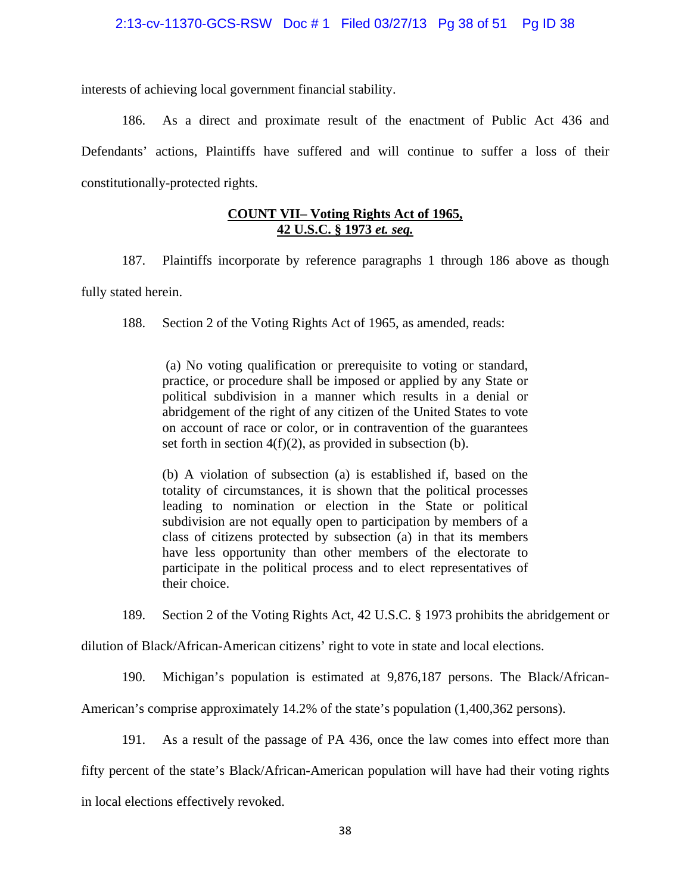interests of achieving local government financial stability.

186. As a direct and proximate result of the enactment of Public Act 436 and Defendants' actions, Plaintiffs have suffered and will continue to suffer a loss of their constitutionally-protected rights.

# **COUNT VII– Voting Rights Act of 1965, 42 U.S.C. § 1973** *et. seq.*

187. Plaintiffs incorporate by reference paragraphs 1 through 186 above as though fully stated herein.

188. Section 2 of the Voting Rights Act of 1965, as amended, reads:

 (a) No voting qualification or prerequisite to voting or standard, practice, or procedure shall be imposed or applied by any State or political subdivision in a manner which results in a denial or abridgement of the right of any citizen of the United States to vote on account of race or color, or in contravention of the guarantees set forth in section  $4(f)(2)$ , as provided in subsection (b).

(b) A violation of subsection (a) is established if, based on the totality of circumstances, it is shown that the political processes leading to nomination or election in the State or political subdivision are not equally open to participation by members of a class of citizens protected by subsection (a) in that its members have less opportunity than other members of the electorate to participate in the political process and to elect representatives of their choice.

189. Section 2 of the Voting Rights Act, 42 U.S.C. § 1973 prohibits the abridgement or

dilution of Black/African-American citizens' right to vote in state and local elections.

190. Michigan's population is estimated at 9,876,187 persons. The Black/African-

American's comprise approximately 14.2% of the state's population (1,400,362 persons).

191. As a result of the passage of PA 436, once the law comes into effect more than

fifty percent of the state's Black/African-American population will have had their voting rights

in local elections effectively revoked.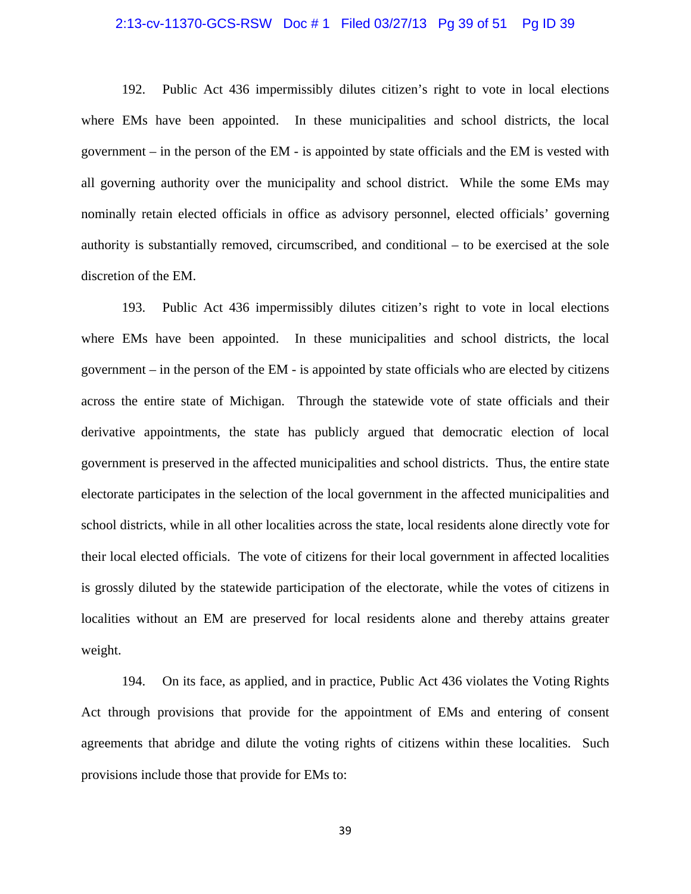#### 2:13-cv-11370-GCS-RSW Doc # 1 Filed 03/27/13 Pg 39 of 51 Pg ID 39

192. Public Act 436 impermissibly dilutes citizen's right to vote in local elections where EMs have been appointed. In these municipalities and school districts, the local government – in the person of the EM - is appointed by state officials and the EM is vested with all governing authority over the municipality and school district. While the some EMs may nominally retain elected officials in office as advisory personnel, elected officials' governing authority is substantially removed, circumscribed, and conditional – to be exercised at the sole discretion of the EM.

193. Public Act 436 impermissibly dilutes citizen's right to vote in local elections where EMs have been appointed. In these municipalities and school districts, the local government – in the person of the EM - is appointed by state officials who are elected by citizens across the entire state of Michigan. Through the statewide vote of state officials and their derivative appointments, the state has publicly argued that democratic election of local government is preserved in the affected municipalities and school districts. Thus, the entire state electorate participates in the selection of the local government in the affected municipalities and school districts, while in all other localities across the state, local residents alone directly vote for their local elected officials. The vote of citizens for their local government in affected localities is grossly diluted by the statewide participation of the electorate, while the votes of citizens in localities without an EM are preserved for local residents alone and thereby attains greater weight.

194. On its face, as applied, and in practice, Public Act 436 violates the Voting Rights Act through provisions that provide for the appointment of EMs and entering of consent agreements that abridge and dilute the voting rights of citizens within these localities. Such provisions include those that provide for EMs to: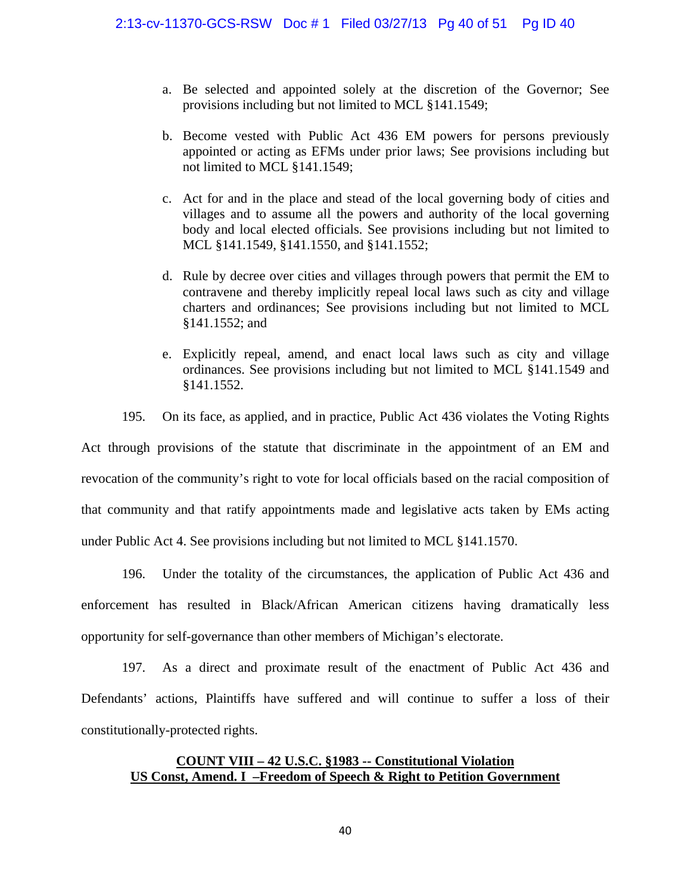- a. Be selected and appointed solely at the discretion of the Governor; See provisions including but not limited to MCL §141.1549;
- b. Become vested with Public Act 436 EM powers for persons previously appointed or acting as EFMs under prior laws; See provisions including but not limited to MCL §141.1549;
- c. Act for and in the place and stead of the local governing body of cities and villages and to assume all the powers and authority of the local governing body and local elected officials. See provisions including but not limited to MCL §141.1549, §141.1550, and §141.1552;
- d. Rule by decree over cities and villages through powers that permit the EM to contravene and thereby implicitly repeal local laws such as city and village charters and ordinances; See provisions including but not limited to MCL §141.1552; and
- e. Explicitly repeal, amend, and enact local laws such as city and village ordinances. See provisions including but not limited to MCL §141.1549 and §141.1552.

195. On its face, as applied, and in practice, Public Act 436 violates the Voting Rights Act through provisions of the statute that discriminate in the appointment of an EM and revocation of the community's right to vote for local officials based on the racial composition of that community and that ratify appointments made and legislative acts taken by EMs acting under Public Act 4. See provisions including but not limited to MCL §141.1570.

196. Under the totality of the circumstances, the application of Public Act 436 and enforcement has resulted in Black/African American citizens having dramatically less opportunity for self-governance than other members of Michigan's electorate.

197. As a direct and proximate result of the enactment of Public Act 436 and Defendants' actions, Plaintiffs have suffered and will continue to suffer a loss of their constitutionally-protected rights.

# **COUNT VIII – 42 U.S.C. §1983 -- Constitutional Violation US Const, Amend. I –Freedom of Speech & Right to Petition Government**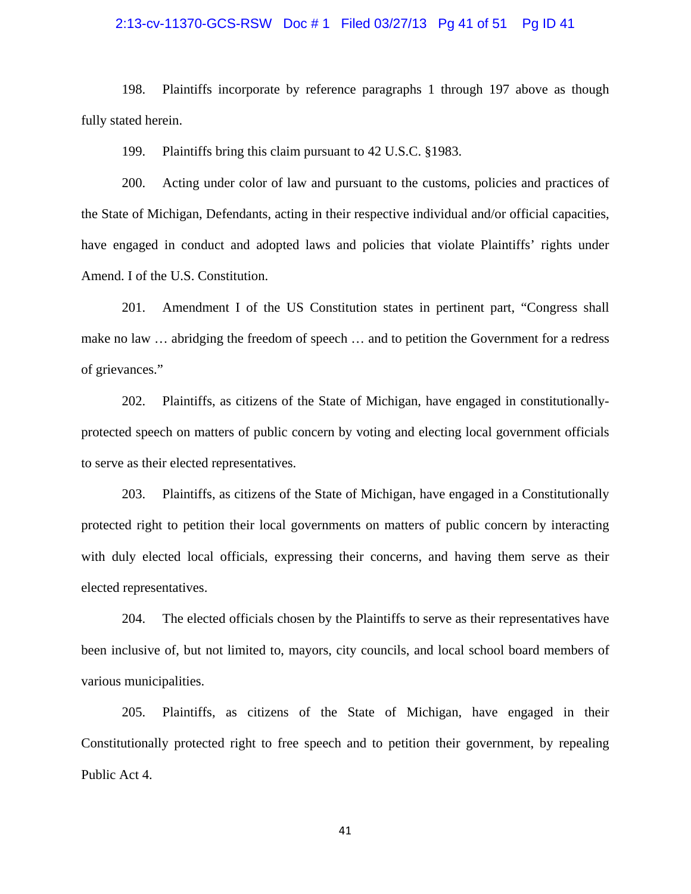#### 2:13-cv-11370-GCS-RSW Doc # 1 Filed 03/27/13 Pg 41 of 51 Pg ID 41

198. Plaintiffs incorporate by reference paragraphs 1 through 197 above as though fully stated herein.

199. Plaintiffs bring this claim pursuant to 42 U.S.C. §1983.

200. Acting under color of law and pursuant to the customs, policies and practices of the State of Michigan, Defendants, acting in their respective individual and/or official capacities, have engaged in conduct and adopted laws and policies that violate Plaintiffs' rights under Amend. I of the U.S. Constitution.

201. Amendment I of the US Constitution states in pertinent part, "Congress shall make no law … abridging the freedom of speech … and to petition the Government for a redress of grievances."

202. Plaintiffs, as citizens of the State of Michigan, have engaged in constitutionallyprotected speech on matters of public concern by voting and electing local government officials to serve as their elected representatives.

203. Plaintiffs, as citizens of the State of Michigan, have engaged in a Constitutionally protected right to petition their local governments on matters of public concern by interacting with duly elected local officials, expressing their concerns, and having them serve as their elected representatives.

204. The elected officials chosen by the Plaintiffs to serve as their representatives have been inclusive of, but not limited to, mayors, city councils, and local school board members of various municipalities.

205. Plaintiffs, as citizens of the State of Michigan, have engaged in their Constitutionally protected right to free speech and to petition their government, by repealing Public Act 4.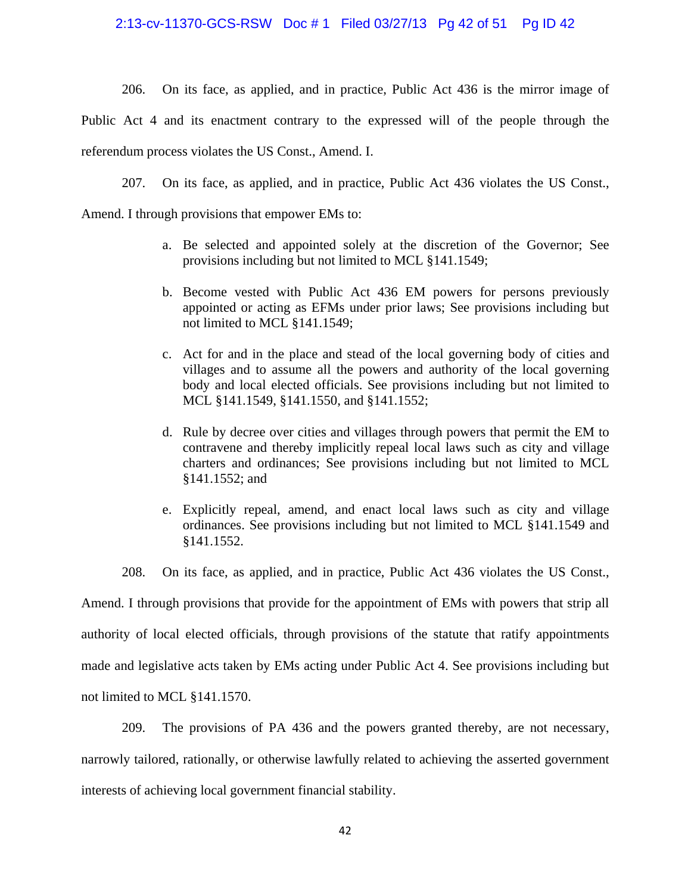# 2:13-cv-11370-GCS-RSW Doc # 1 Filed 03/27/13 Pg 42 of 51 Pg ID 42

206. On its face, as applied, and in practice, Public Act 436 is the mirror image of

Public Act 4 and its enactment contrary to the expressed will of the people through the referendum process violates the US Const., Amend. I.

207. On its face, as applied, and in practice, Public Act 436 violates the US Const.,

Amend. I through provisions that empower EMs to:

- a. Be selected and appointed solely at the discretion of the Governor; See provisions including but not limited to MCL §141.1549;
- b. Become vested with Public Act 436 EM powers for persons previously appointed or acting as EFMs under prior laws; See provisions including but not limited to MCL §141.1549;
- c. Act for and in the place and stead of the local governing body of cities and villages and to assume all the powers and authority of the local governing body and local elected officials. See provisions including but not limited to MCL §141.1549, §141.1550, and §141.1552;
- d. Rule by decree over cities and villages through powers that permit the EM to contravene and thereby implicitly repeal local laws such as city and village charters and ordinances; See provisions including but not limited to MCL §141.1552; and
- e. Explicitly repeal, amend, and enact local laws such as city and village ordinances. See provisions including but not limited to MCL §141.1549 and §141.1552.

208. On its face, as applied, and in practice, Public Act 436 violates the US Const.,

Amend. I through provisions that provide for the appointment of EMs with powers that strip all authority of local elected officials, through provisions of the statute that ratify appointments made and legislative acts taken by EMs acting under Public Act 4. See provisions including but not limited to MCL §141.1570.

209. The provisions of PA 436 and the powers granted thereby, are not necessary, narrowly tailored, rationally, or otherwise lawfully related to achieving the asserted government interests of achieving local government financial stability.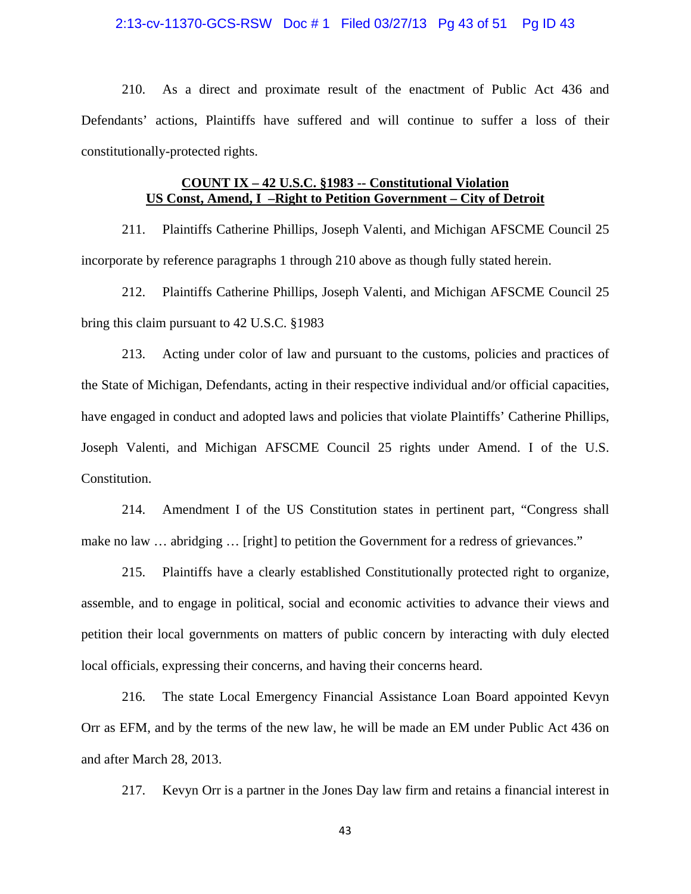#### 2:13-cv-11370-GCS-RSW Doc # 1 Filed 03/27/13 Pg 43 of 51 Pg ID 43

210. As a direct and proximate result of the enactment of Public Act 436 and Defendants' actions, Plaintiffs have suffered and will continue to suffer a loss of their constitutionally-protected rights.

### **COUNT IX – 42 U.S.C. §1983 -- Constitutional Violation US Const, Amend, I –Right to Petition Government – City of Detroit**

211. Plaintiffs Catherine Phillips, Joseph Valenti, and Michigan AFSCME Council 25 incorporate by reference paragraphs 1 through 210 above as though fully stated herein.

212. Plaintiffs Catherine Phillips, Joseph Valenti, and Michigan AFSCME Council 25 bring this claim pursuant to 42 U.S.C. §1983

213. Acting under color of law and pursuant to the customs, policies and practices of the State of Michigan, Defendants, acting in their respective individual and/or official capacities, have engaged in conduct and adopted laws and policies that violate Plaintiffs' Catherine Phillips, Joseph Valenti, and Michigan AFSCME Council 25 rights under Amend. I of the U.S. Constitution.

214. Amendment I of the US Constitution states in pertinent part, "Congress shall make no law ... abridging ... [right] to petition the Government for a redress of grievances."

215. Plaintiffs have a clearly established Constitutionally protected right to organize, assemble, and to engage in political, social and economic activities to advance their views and petition their local governments on matters of public concern by interacting with duly elected local officials, expressing their concerns, and having their concerns heard.

216. The state Local Emergency Financial Assistance Loan Board appointed Kevyn Orr as EFM, and by the terms of the new law, he will be made an EM under Public Act 436 on and after March 28, 2013.

217. Kevyn Orr is a partner in the Jones Day law firm and retains a financial interest in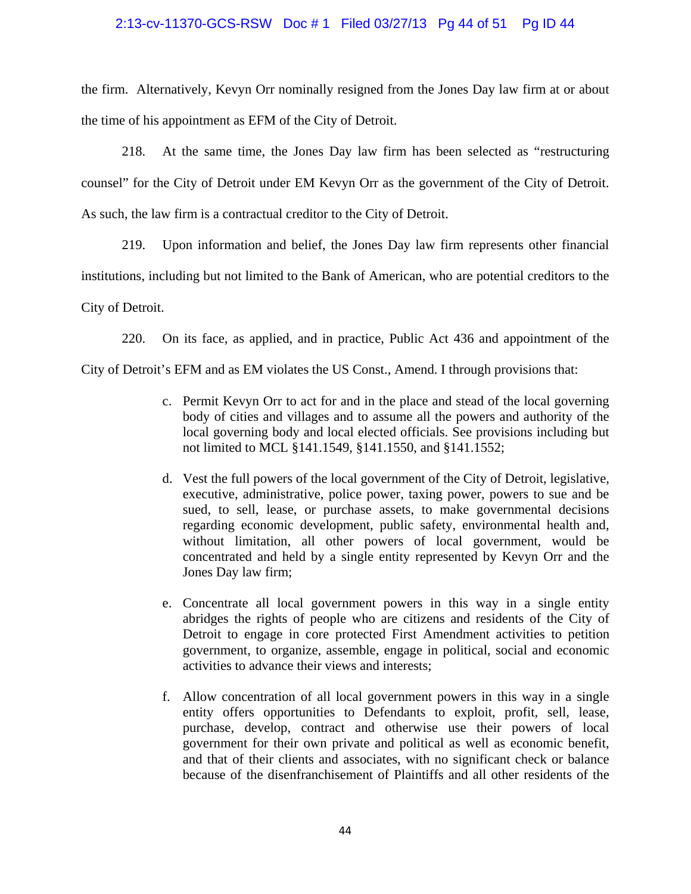### 2:13-cv-11370-GCS-RSW Doc # 1 Filed 03/27/13 Pg 44 of 51 Pg ID 44

the firm. Alternatively, Kevyn Orr nominally resigned from the Jones Day law firm at or about the time of his appointment as EFM of the City of Detroit.

218. At the same time, the Jones Day law firm has been selected as "restructuring counsel" for the City of Detroit under EM Kevyn Orr as the government of the City of Detroit. As such, the law firm is a contractual creditor to the City of Detroit.

219. Upon information and belief, the Jones Day law firm represents other financial institutions, including but not limited to the Bank of American, who are potential creditors to the City of Detroit.

220. On its face, as applied, and in practice, Public Act 436 and appointment of the

City of Detroit's EFM and as EM violates the US Const., Amend. I through provisions that:

- c. Permit Kevyn Orr to act for and in the place and stead of the local governing body of cities and villages and to assume all the powers and authority of the local governing body and local elected officials. See provisions including but not limited to MCL §141.1549, §141.1550, and §141.1552;
- d. Vest the full powers of the local government of the City of Detroit, legislative, executive, administrative, police power, taxing power, powers to sue and be sued, to sell, lease, or purchase assets, to make governmental decisions regarding economic development, public safety, environmental health and, without limitation, all other powers of local government, would be concentrated and held by a single entity represented by Kevyn Orr and the Jones Day law firm;
- e. Concentrate all local government powers in this way in a single entity abridges the rights of people who are citizens and residents of the City of Detroit to engage in core protected First Amendment activities to petition government, to organize, assemble, engage in political, social and economic activities to advance their views and interests;
- f. Allow concentration of all local government powers in this way in a single entity offers opportunities to Defendants to exploit, profit, sell, lease, purchase, develop, contract and otherwise use their powers of local government for their own private and political as well as economic benefit, and that of their clients and associates, with no significant check or balance because of the disenfranchisement of Plaintiffs and all other residents of the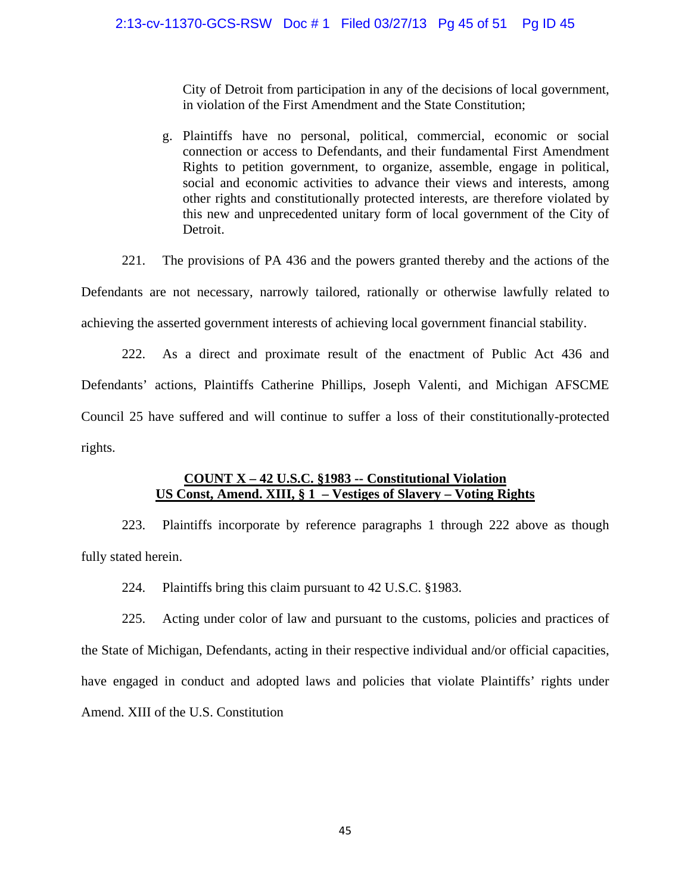City of Detroit from participation in any of the decisions of local government, in violation of the First Amendment and the State Constitution;

g. Plaintiffs have no personal, political, commercial, economic or social connection or access to Defendants, and their fundamental First Amendment Rights to petition government, to organize, assemble, engage in political, social and economic activities to advance their views and interests, among other rights and constitutionally protected interests, are therefore violated by this new and unprecedented unitary form of local government of the City of Detroit.

221. The provisions of PA 436 and the powers granted thereby and the actions of the Defendants are not necessary, narrowly tailored, rationally or otherwise lawfully related to achieving the asserted government interests of achieving local government financial stability.

222. As a direct and proximate result of the enactment of Public Act 436 and Defendants' actions, Plaintiffs Catherine Phillips, Joseph Valenti, and Michigan AFSCME Council 25 have suffered and will continue to suffer a loss of their constitutionally-protected rights.

# **COUNT X – 42 U.S.C. §1983 -- Constitutional Violation US Const, Amend. XIII, § 1 – Vestiges of Slavery – Voting Rights**

223. Plaintiffs incorporate by reference paragraphs 1 through 222 above as though fully stated herein.

224. Plaintiffs bring this claim pursuant to 42 U.S.C. §1983.

225. Acting under color of law and pursuant to the customs, policies and practices of the State of Michigan, Defendants, acting in their respective individual and/or official capacities, have engaged in conduct and adopted laws and policies that violate Plaintiffs' rights under Amend. XIII of the U.S. Constitution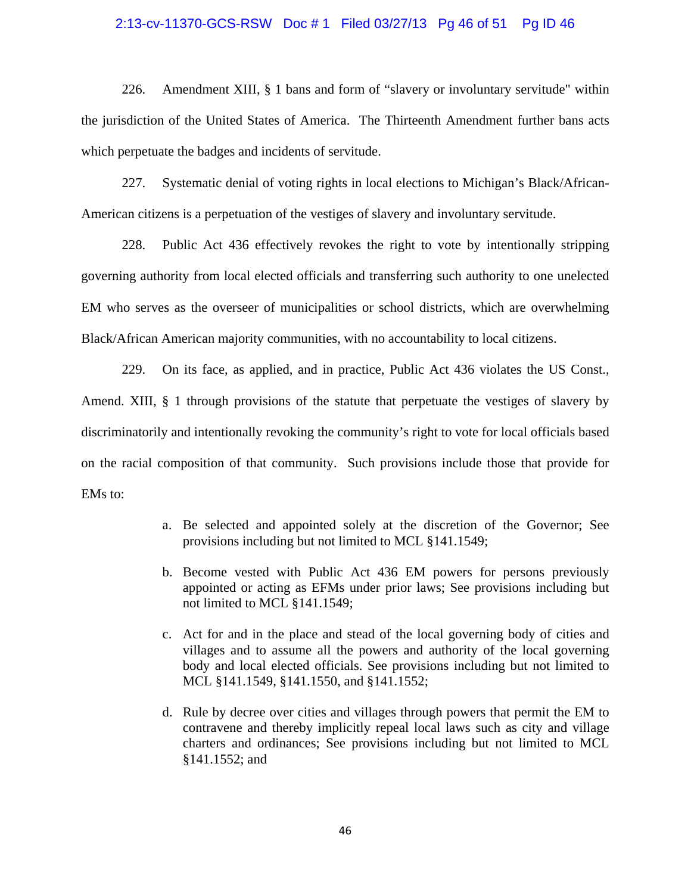# 2:13-cv-11370-GCS-RSW Doc # 1 Filed 03/27/13 Pg 46 of 51 Pg ID 46

226. Amendment XIII, § 1 bans and form of "slavery or involuntary servitude" within the jurisdiction of the United States of America. The Thirteenth Amendment further bans acts which perpetuate the badges and incidents of servitude.

227. Systematic denial of voting rights in local elections to Michigan's Black/African-American citizens is a perpetuation of the vestiges of slavery and involuntary servitude.

228. Public Act 436 effectively revokes the right to vote by intentionally stripping governing authority from local elected officials and transferring such authority to one unelected EM who serves as the overseer of municipalities or school districts, which are overwhelming Black/African American majority communities, with no accountability to local citizens.

229. On its face, as applied, and in practice, Public Act 436 violates the US Const., Amend. XIII, § 1 through provisions of the statute that perpetuate the vestiges of slavery by discriminatorily and intentionally revoking the community's right to vote for local officials based on the racial composition of that community. Such provisions include those that provide for EMs to:

- a. Be selected and appointed solely at the discretion of the Governor; See provisions including but not limited to MCL §141.1549;
- b. Become vested with Public Act 436 EM powers for persons previously appointed or acting as EFMs under prior laws; See provisions including but not limited to MCL §141.1549;
- c. Act for and in the place and stead of the local governing body of cities and villages and to assume all the powers and authority of the local governing body and local elected officials. See provisions including but not limited to MCL §141.1549, §141.1550, and §141.1552;
- d. Rule by decree over cities and villages through powers that permit the EM to contravene and thereby implicitly repeal local laws such as city and village charters and ordinances; See provisions including but not limited to MCL §141.1552; and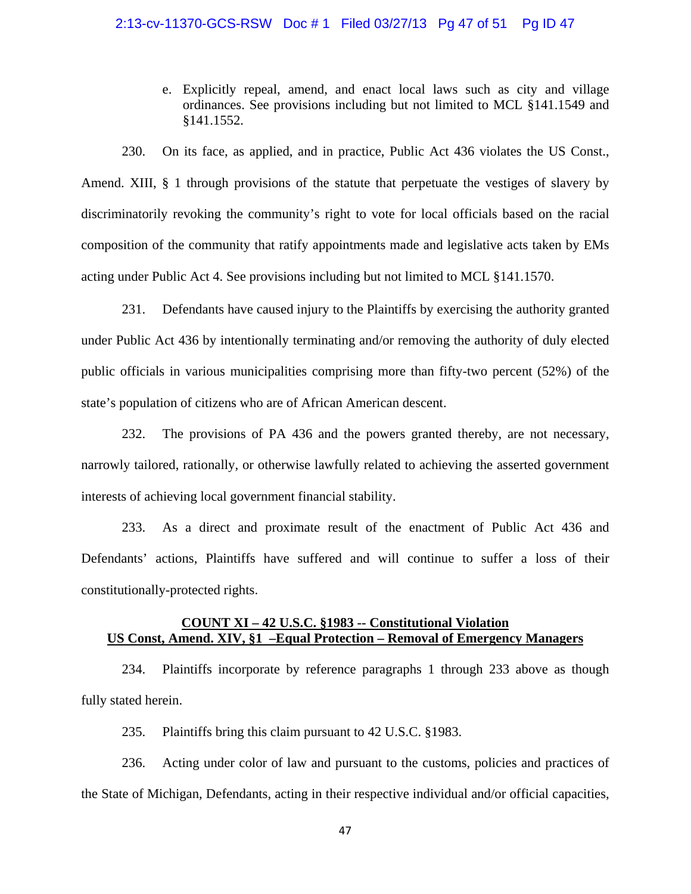#### 2:13-cv-11370-GCS-RSW Doc # 1 Filed 03/27/13 Pg 47 of 51 Pg ID 47

e. Explicitly repeal, amend, and enact local laws such as city and village ordinances. See provisions including but not limited to MCL §141.1549 and §141.1552.

230. On its face, as applied, and in practice, Public Act 436 violates the US Const., Amend. XIII, § 1 through provisions of the statute that perpetuate the vestiges of slavery by discriminatorily revoking the community's right to vote for local officials based on the racial composition of the community that ratify appointments made and legislative acts taken by EMs acting under Public Act 4. See provisions including but not limited to MCL §141.1570.

231. Defendants have caused injury to the Plaintiffs by exercising the authority granted under Public Act 436 by intentionally terminating and/or removing the authority of duly elected public officials in various municipalities comprising more than fifty-two percent (52%) of the state's population of citizens who are of African American descent.

232. The provisions of PA 436 and the powers granted thereby, are not necessary, narrowly tailored, rationally, or otherwise lawfully related to achieving the asserted government interests of achieving local government financial stability.

233. As a direct and proximate result of the enactment of Public Act 436 and Defendants' actions, Plaintiffs have suffered and will continue to suffer a loss of their constitutionally-protected rights.

# **COUNT XI – 42 U.S.C. §1983 -- Constitutional Violation US Const, Amend. XIV, §1 –Equal Protection – Removal of Emergency Managers**

234. Plaintiffs incorporate by reference paragraphs 1 through 233 above as though fully stated herein.

235. Plaintiffs bring this claim pursuant to 42 U.S.C. §1983.

236. Acting under color of law and pursuant to the customs, policies and practices of the State of Michigan, Defendants, acting in their respective individual and/or official capacities,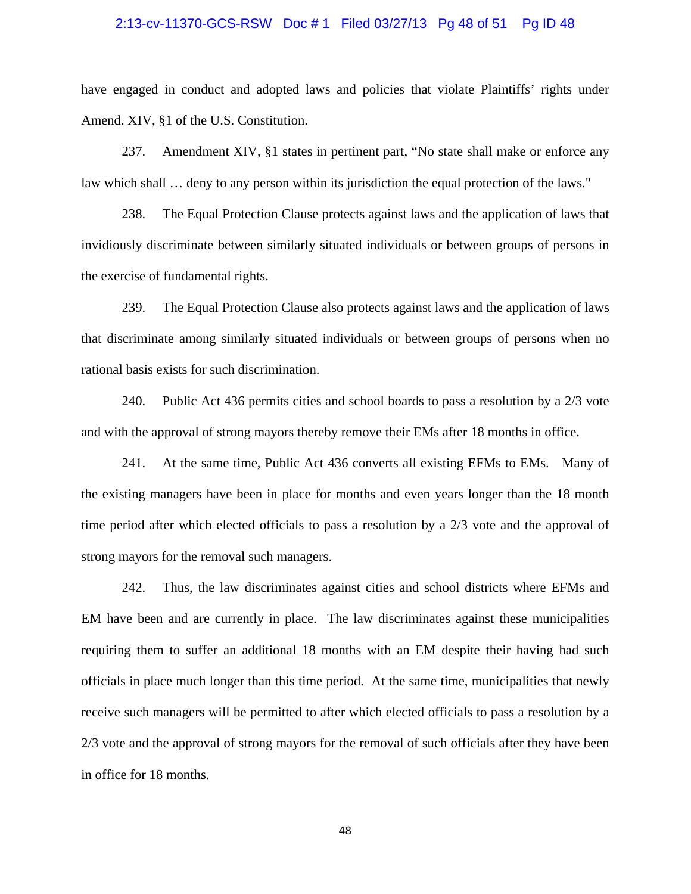#### 2:13-cv-11370-GCS-RSW Doc # 1 Filed 03/27/13 Pg 48 of 51 Pg ID 48

have engaged in conduct and adopted laws and policies that violate Plaintiffs' rights under Amend. XIV, §1 of the U.S. Constitution.

237. Amendment XIV, §1 states in pertinent part, "No state shall make or enforce any law which shall ... deny to any person within its jurisdiction the equal protection of the laws."

238. The Equal Protection Clause protects against laws and the application of laws that invidiously discriminate between similarly situated individuals or between groups of persons in the exercise of fundamental rights.

239. The Equal Protection Clause also protects against laws and the application of laws that discriminate among similarly situated individuals or between groups of persons when no rational basis exists for such discrimination.

240. Public Act 436 permits cities and school boards to pass a resolution by a 2/3 vote and with the approval of strong mayors thereby remove their EMs after 18 months in office.

241. At the same time, Public Act 436 converts all existing EFMs to EMs. Many of the existing managers have been in place for months and even years longer than the 18 month time period after which elected officials to pass a resolution by a 2/3 vote and the approval of strong mayors for the removal such managers.

242. Thus, the law discriminates against cities and school districts where EFMs and EM have been and are currently in place. The law discriminates against these municipalities requiring them to suffer an additional 18 months with an EM despite their having had such officials in place much longer than this time period. At the same time, municipalities that newly receive such managers will be permitted to after which elected officials to pass a resolution by a 2/3 vote and the approval of strong mayors for the removal of such officials after they have been in office for 18 months.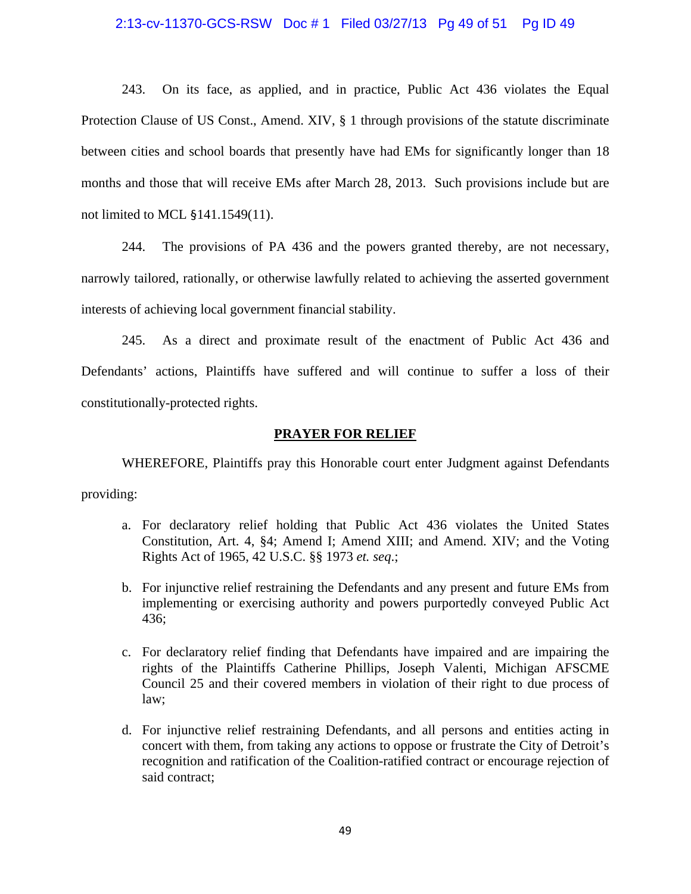#### 2:13-cv-11370-GCS-RSW Doc # 1 Filed 03/27/13 Pg 49 of 51 Pg ID 49

243. On its face, as applied, and in practice, Public Act 436 violates the Equal Protection Clause of US Const., Amend. XIV, § 1 through provisions of the statute discriminate between cities and school boards that presently have had EMs for significantly longer than 18 months and those that will receive EMs after March 28, 2013. Such provisions include but are not limited to MCL §141.1549(11).

244. The provisions of PA 436 and the powers granted thereby, are not necessary, narrowly tailored, rationally, or otherwise lawfully related to achieving the asserted government interests of achieving local government financial stability.

245. As a direct and proximate result of the enactment of Public Act 436 and Defendants' actions, Plaintiffs have suffered and will continue to suffer a loss of their constitutionally-protected rights.

#### **PRAYER FOR RELIEF**

WHEREFORE, Plaintiffs pray this Honorable court enter Judgment against Defendants providing:

- a. For declaratory relief holding that Public Act 436 violates the United States Constitution, Art. 4, §4; Amend I; Amend XIII; and Amend. XIV; and the Voting Rights Act of 1965, 42 U.S.C. §§ 1973 *et. seq*.;
- b. For injunctive relief restraining the Defendants and any present and future EMs from implementing or exercising authority and powers purportedly conveyed Public Act 436;
- c. For declaratory relief finding that Defendants have impaired and are impairing the rights of the Plaintiffs Catherine Phillips, Joseph Valenti, Michigan AFSCME Council 25 and their covered members in violation of their right to due process of law;
- d. For injunctive relief restraining Defendants, and all persons and entities acting in concert with them, from taking any actions to oppose or frustrate the City of Detroit's recognition and ratification of the Coalition-ratified contract or encourage rejection of said contract;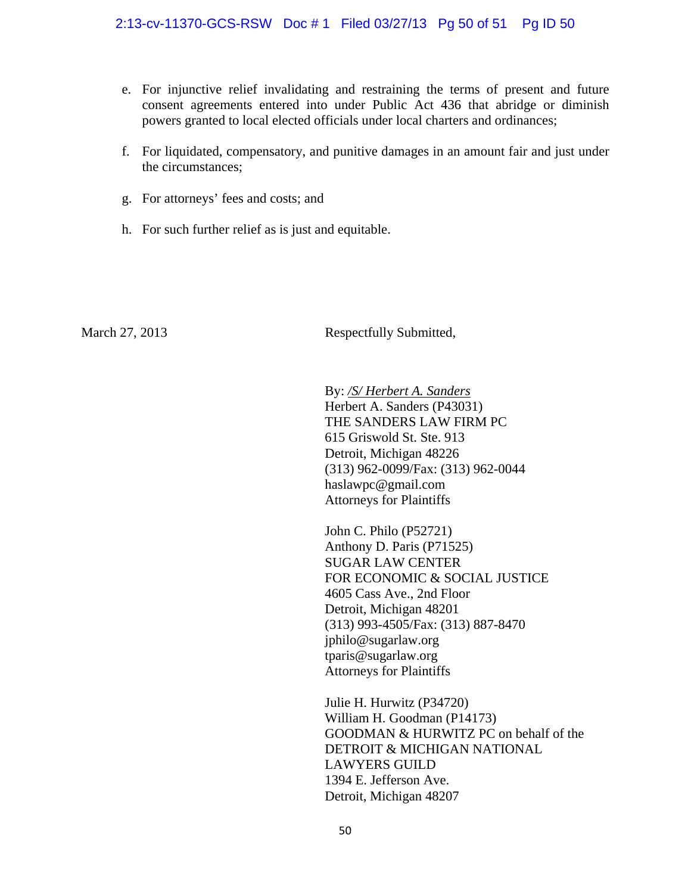- e. For injunctive relief invalidating and restraining the terms of present and future consent agreements entered into under Public Act 436 that abridge or diminish powers granted to local elected officials under local charters and ordinances;
- f. For liquidated, compensatory, and punitive damages in an amount fair and just under the circumstances;
- g. For attorneys' fees and costs; and
- h. For such further relief as is just and equitable.

March 27, 2013 Respectfully Submitted,

By: */S/ Herbert A. Sanders* Herbert A. Sanders (P43031) THE SANDERS LAW FIRM PC 615 Griswold St. Ste. 913 Detroit, Michigan 48226 (313) 962-0099/Fax: (313) 962-0044 haslawpc@gmail.com Attorneys for Plaintiffs

John C. Philo (P52721) Anthony D. Paris (P71525) SUGAR LAW CENTER FOR ECONOMIC & SOCIAL JUSTICE 4605 Cass Ave., 2nd Floor Detroit, Michigan 48201 (313) 993-4505/Fax: (313) 887-8470 jphilo@sugarlaw.org tparis@sugarlaw.org Attorneys for Plaintiffs

Julie H. Hurwitz (P34720) William H. Goodman (P14173) GOODMAN & HURWITZ PC on behalf of the DETROIT & MICHIGAN NATIONAL LAWYERS GUILD 1394 E. Jefferson Ave. Detroit, Michigan 48207